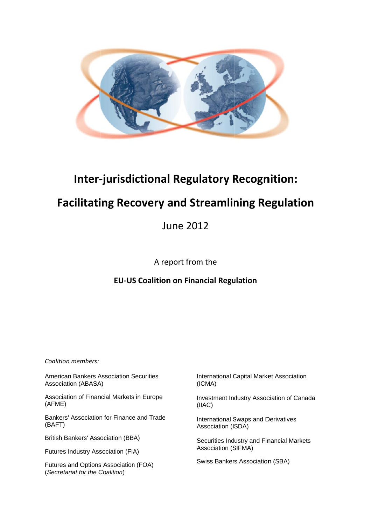

# **Inter‐ jurisdi ictiona l Regul latory R Recogn nition:**

# **Facilitating Recovery and Streamlining Regulation**

June 2012

A report from the

# **EU‐US S Coalition n on Finan ncial Regu ulation**

*Coalition n members:*

American Bankers Association Securities Association (ABASA)

Association of Financial Markets in Europe (AFME)

Bankers' Association for Finance and Trade (BAFT)

British Bankers' Association (BBA)

Futures Industry Association (FIA)

Futures and Options Association (FOA) (Secretariat for the Coalition)

International Capital Market Association (IC CMA)

Investment Industry Association of Canada (I IAC)

International Swaps and Derivatives Association (ISDA)

Securities Industry and Financial Markets Association (SIFMA)

Swiss Bankers Association (SBA)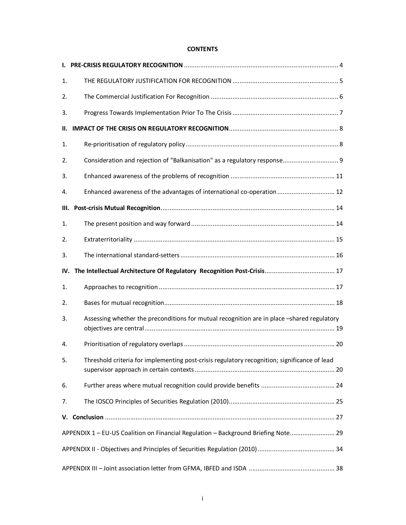# **CONTENTS**

| I.  |                                                                                              |
|-----|----------------------------------------------------------------------------------------------|
| 1.  |                                                                                              |
| 2.  |                                                                                              |
| 3.  |                                                                                              |
| Ш.  |                                                                                              |
| 1.  |                                                                                              |
| 2.  | Consideration and rejection of "Balkanisation" as a regulatory response 9                    |
| 3.  |                                                                                              |
| 4.  | Enhanced awareness of the advantages of international co-operation  12                       |
| Ш.  |                                                                                              |
| 1.  |                                                                                              |
| 2.  |                                                                                              |
| 3.  |                                                                                              |
| IV. |                                                                                              |
| 1.  |                                                                                              |
| 2.  |                                                                                              |
| 3.  | Assessing whether the preconditions for mutual recognition are in place -shared regulatory   |
| 4.  |                                                                                              |
| 5.  | Threshold criteria for implementing post-crisis regulatory recognition; significance of lead |
| 6.  |                                                                                              |
| 7.  |                                                                                              |
|     |                                                                                              |
|     | APPENDIX 1 - EU-US Coalition on Financial Regulation - Background Briefing Note 29           |
|     |                                                                                              |
|     |                                                                                              |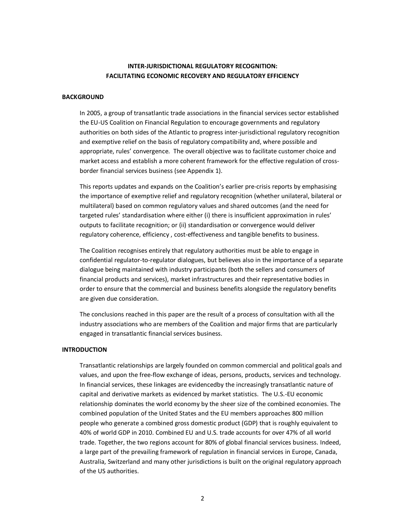# **INTER-JURISDICTIONAL REGULATORY RECOGNITION: FACILITATING ECONOMIC RECOVERY AND REGULATORY EFFICIENCY**

### **BACKGROUND**

In 2005, a group of transatlantic trade associations in the financial services sector established the EU-US Coalition on Financial Regulation to encourage governments and regulatory authorities on both sides of the Atlantic to progress inter-jurisdictional regulatory recognition and exemptive relief on the basis of regulatory compatibility and, where possible and appropriate, rules' convergence. The overall objective was to facilitate customer choice and market access and establish a more coherent framework for the effective regulation of crossborder financial services business (see Appendix 1).

This reports updates and expands on the Coalition's earlier pre-crisis reports by emphasising the importance of exemptive relief and regulatory recognition (whether unilateral, bilateral or multilateral) based on common regulatory values and shared outcomes (and the need for targeted rules' standardisation where either (i) there is insufficient approximation in rules' outputs to facilitate recognition; or (ii) standardisation or convergence would deliver regulatory coherence, efficiency , cost-effectiveness and tangible benefits to business.

The Coalition recognises entirely that regulatory authorities must be able to engage in confidential regulator-to-regulator dialogues, but believes also in the importance of a separate dialogue being maintained with industry participants (both the sellers and consumers of financial products and services), market infrastructures and their representative bodies in order to ensure that the commercial and business benefits alongside the regulatory benefits are given due consideration.

The conclusions reached in this paper are the result of a process of consultation with all the industry associations who are members of the Coalition and major firms that are particularly engaged in transatlantic financial services business.

### **INTRODUCTION**

Transatlantic relationships are largely founded on common commercial and political goals and values, and upon the free-flow exchange of ideas, persons, products, services and technology. In financial services, these linkages are evidencedby the increasingly transatlantic nature of capital and derivative markets as evidenced by market statistics. The U.S.-EU economic relationship dominates the world economy by the sheer size of the combined economies. The combined population of the United States and the EU members approaches 800 million people who generate a combined gross domestic product (GDP) that is roughly equivalent to 40% of world GDP in 2010. Combined EU and U.S. trade accounts for over 47% of all world trade. Together, the two regions account for 80% of global financial services business. Indeed, a large part of the prevailing framework of regulation in financial services in Europe, Canada, Australia, Switzerland and many other jurisdictions is built on the original regulatory approach of the US authorities.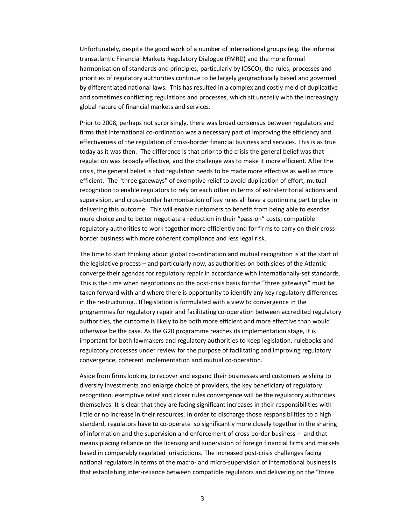Unfortunately, despite the good work of a number of international groups (e.g. the informal transatlantic Financial Markets Regulatory Dialogue (FMRD) and the more formal harmonisation of standards and principles, particularly by IOSCO), the rules, processes and priorities of regulatory authorities continue to be largely geographically based and governed by differentiated national laws. This has resulted in a complex and costly meld of duplicative and sometimes conflicting regulations and processes, which sit uneasily with the increasingly global nature of financial markets and services.

Prior to 2008, perhaps not surprisingly, there was broad consensus between regulators and firms that international co-ordination was a necessary part of improving the efficiency and effectiveness of the regulation of cross-border financial business and services. This is as true today as it was then. The difference is that prior to the crisis the general belief was that regulation was broadly effective, and the challenge was to make it more efficient. After the crisis, the general belief is that regulation needs to be made more effective as well as more efficient. The "three gateways" of exemptive relief to avoid duplication of effort, mutual recognition to enable regulators to rely on each other in terms of extraterritorial actions and supervision, and cross-border harmonisation of key rules all have a continuing part to play in delivering this outcome. This will enable customers to benefit from being able to exercise more choice and to better negotiate a reduction in their "pass-on" costs; compatible regulatory authorities to work together more efficiently and for firms to carry on their crossborder business with more coherent compliance and less legal risk.

The time to start thinking about global co-ordination and mutual recognition is at the start of the legislative process – and particularly now, as authorities on both sides of the Atlantic converge their agendas for regulatory repair in accordance with internationally-set standards. This is the time when negotiations on the post-crisis basis for the "three gateways" must be taken forward with and where there is opportunity to identify any key regulatory differences in the restructuring.. If legislation is formulated with a view to convergence in the programmes for regulatory repair and facilitating co-operation between accredited regulatory authorities, the outcome is likely to be both more efficient and more effective than would otherwise be the case. As the G20 programme reaches its implementation stage, it is important for both lawmakers and regulatory authorities to keep legislation, rulebooks and regulatory processes under review for the purpose of facilitating and improving regulatory convergence, coherent implementation and mutual co-operation.

Aside from firms looking to recover and expand their businesses and customers wishing to diversify investments and enlarge choice of providers, the key beneficiary of regulatory recognition, exemptive relief and closer rules convergence will be the regulatory authorities themselves. It is clear that they are facing significant increases in their responsibilities with little or no increase in their resources. In order to discharge those responsibilities to a high standard, regulators have to co-operate so significantly more closely together in the sharing of information and the supervision and enforcement of cross-border business – and that means placing reliance on the licensing and supervision of foreign financial firms and markets based in comparably regulated jurisdictions. The increased post-crisis challenges facing national regulators in terms of the macro- and micro-supervision of international business is that establishing inter-reliance between compatible regulators and delivering on the "three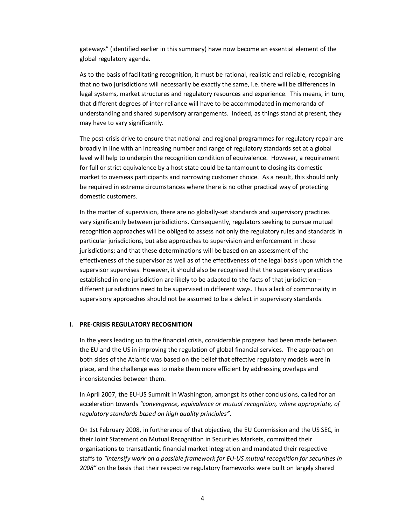gateways" (identified earlier in this summary) have now become an essential element of the global regulatory agenda.

As to the basis of facilitating recognition, it must be rational, realistic and reliable, recognising that no two jurisdictions will necessarily be exactly the same, i.e. there will be differences in legal systems, market structures and regulatory resources and experience. This means, in turn, that different degrees of inter-reliance will have to be accommodated in memoranda of understanding and shared supervisory arrangements. Indeed, as things stand at present, they may have to vary significantly.

The post-crisis drive to ensure that national and regional programmes for regulatory repair are broadly in line with an increasing number and range of regulatory standards set at a global level will help to underpin the recognition condition of equivalence. However, a requirement for full or strict equivalence by a host state could be tantamount to closing its domestic market to overseas participants and narrowing customer choice. As a result, this should only be required in extreme circumstances where there is no other practical way of protecting domestic customers.

In the matter of supervision, there are no globally-set standards and supervisory practices vary significantly between jurisdictions. Consequently, regulators seeking to pursue mutual recognition approaches will be obliged to assess not only the regulatory rules and standards in particular jurisdictions, but also approaches to supervision and enforcement in those jurisdictions; and that these determinations will be based on an assessment of the effectiveness of the supervisor as well as of the effectiveness of the legal basis upon which the supervisor supervises. However, it should also be recognised that the supervisory practices established in one jurisdiction are likely to be adapted to the facts of that jurisdiction – different jurisdictions need to be supervised in different ways. Thus a lack of commonality in supervisory approaches should not be assumed to be a defect in supervisory standards.

### **I. PRE-CRISIS REGULATORY RECOGNITION**

In the years leading up to the financial crisis, considerable progress had been made between the EU and the US in improving the regulation of global financial services. The approach on both sides of the Atlantic was based on the belief that effective regulatory models were in place, and the challenge was to make them more efficient by addressing overlaps and inconsistencies between them.

In April 2007, the EU-US Summit in Washington, amongst its other conclusions, called for an acceleration towards *"convergence, equivalence or mutual recognition, where appropriate, of regulatory standards based on high quality principles"*.

On 1st February 2008, in furtherance of that objective, the EU Commission and the US SEC, in their Joint Statement on Mutual Recognition in Securities Markets, committed their organisations to transatlantic financial market integration and mandated their respective staffs to *"intensify work on a possible framework for EU-US mutual recognition for securities in 2008"* on the basis that their respective regulatory frameworks were built on largely shared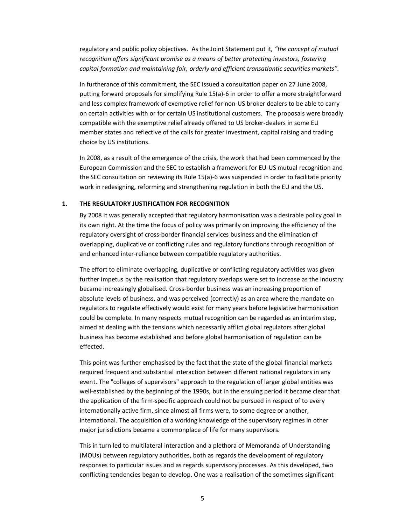regulatory and public policy objectives. As the Joint Statement put it*, "the concept of mutual recognition offers significant promise as a means of better protecting investors, fostering capital formation and maintaining fair, orderly and efficient transatlantic securities markets"*.

In furtherance of this commitment, the SEC issued a consultation paper on 27 June 2008, putting forward proposals for simplifying Rule 15(a)-6 in order to offer a more straightforward and less complex framework of exemptive relief for non-US broker dealers to be able to carry on certain activities with or for certain US institutional customers. The proposals were broadly compatible with the exemptive relief already offered to US broker-dealers in some EU member states and reflective of the calls for greater investment, capital raising and trading choice by US institutions.

In 2008, as a result of the emergence of the crisis, the work that had been commenced by the European Commission and the SEC to establish a framework for EU-US mutual recognition and the SEC consultation on reviewing its Rule 15(a)-6 was suspended in order to facilitate priority work in redesigning, reforming and strengthening regulation in both the EU and the US.

### **1. THE REGULATORY JUSTIFICATION FOR RECOGNITION**

By 2008 it was generally accepted that regulatory harmonisation was a desirable policy goal in its own right. At the time the focus of policy was primarily on improving the efficiency of the regulatory oversight of cross-border financial services business and the elimination of overlapping, duplicative or conflicting rules and regulatory functions through recognition of and enhanced inter-reliance between compatible regulatory authorities.

The effort to eliminate overlapping, duplicative or conflicting regulatory activities was given further impetus by the realisation that regulatory overlaps were set to increase as the industry became increasingly globalised. Cross-border business was an increasing proportion of absolute levels of business, and was perceived (correctly) as an area where the mandate on regulators to regulate effectively would exist for many years before legislative harmonisation could be complete. In many respects mutual recognition can be regarded as an interim step, aimed at dealing with the tensions which necessarily afflict global regulators after global business has become established and before global harmonisation of regulation can be effected.

This point was further emphasised by the fact that the state of the global financial markets required frequent and substantial interaction between different national regulators in any event. The "colleges of supervisors" approach to the regulation of larger global entities was well-established by the beginning of the 1990s, but in the ensuing period it became clear that the application of the firm-specific approach could not be pursued in respect of to every internationally active firm, since almost all firms were, to some degree or another, international. The acquisition of a working knowledge of the supervisory regimes in other major jurisdictions became a commonplace of life for many supervisors.

This in turn led to multilateral interaction and a plethora of Memoranda of Understanding (MOUs) between regulatory authorities, both as regards the development of regulatory responses to particular issues and as regards supervisory processes. As this developed, two conflicting tendencies began to develop. One was a realisation of the sometimes significant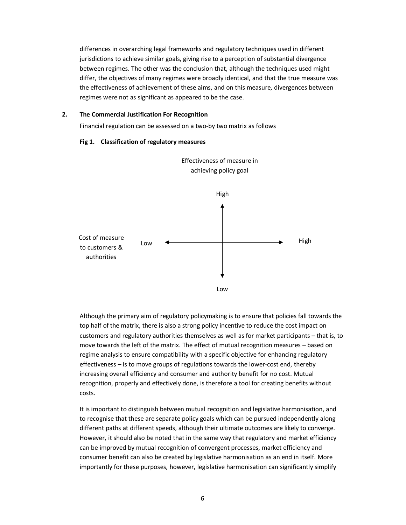differences in overarching legal frameworks and regulatory techniques used in different jurisdictions to achieve similar goals, giving rise to a perception of substantial divergence between regimes. The other was the conclusion that, although the techniques used might differ, the objectives of many regimes were broadly identical, and that the true measure was the effectiveness of achievement of these aims, and on this measure, divergences between regimes were not as significant as appeared to be the case.

### **2. The Commercial Justification For Recognition**

Financial regulation can be assessed on a two-by two matrix as follows

### **Fig 1. Classification of regulatory measures**



Effectiveness of measure in achieving policy goal

Although the primary aim of regulatory policymaking is to ensure that policies fall towards the top half of the matrix, there is also a strong policy incentive to reduce the cost impact on customers and regulatory authorities themselves as well as for market participants – that is, to move towards the left of the matrix. The effect of mutual recognition measures – based on regime analysis to ensure compatibility with a specific objective for enhancing regulatory effectiveness – is to move groups of regulations towards the lower-cost end, thereby increasing overall efficiency and consumer and authority benefit for no cost. Mutual recognition, properly and effectively done, is therefore a tool for creating benefits without costs.

It is important to distinguish between mutual recognition and legislative harmonisation, and to recognise that these are separate policy goals which can be pursued independently along different paths at different speeds, although their ultimate outcomes are likely to converge. However, it should also be noted that in the same way that regulatory and market efficiency can be improved by mutual recognition of convergent processes, market efficiency and consumer benefit can also be created by legislative harmonisation as an end in itself. More importantly for these purposes, however, legislative harmonisation can significantly simplify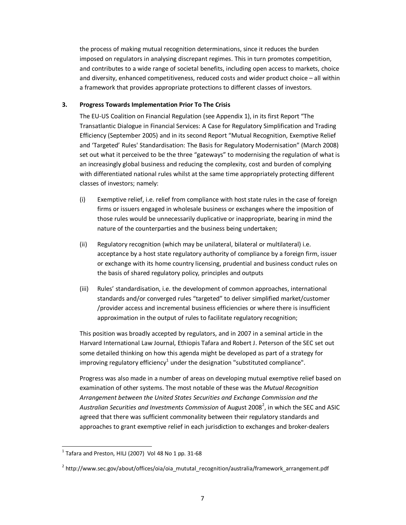the process of making mutual recognition determinations, since it reduces the burden imposed on regulators in analysing discrepant regimes. This in turn promotes competition, and contributes to a wide range of societal benefits, including open access to markets, choice and diversity, enhanced competitiveness, reduced costs and wider product choice – all within a framework that provides appropriate protections to different classes of investors.

### **3. Progress Towards Implementation Prior To The Crisis**

The EU-US Coalition on Financial Regulation (see Appendix 1), in its first Report "The Transatlantic Dialogue in Financial Services: A Case for Regulatory Simplification and Trading Efficiency (September 2005) and in its second Report "Mutual Recognition, Exemptive Relief and 'Targeted' Rules' Standardisation: The Basis for Regulatory Modernisation" (March 2008) set out what it perceived to be the three "gateways" to modernising the regulation of what is an increasingly global business and reducing the complexity, cost and burden of complying with differentiated national rules whilst at the same time appropriately protecting different classes of investors; namely:

- (i) Exemptive relief, i.e. relief from compliance with host state rules in the case of foreign firms or issuers engaged in wholesale business or exchanges where the imposition of those rules would be unnecessarily duplicative or inappropriate, bearing in mind the nature of the counterparties and the business being undertaken;
- (ii) Regulatory recognition (which may be unilateral, bilateral or multilateral) i.e. acceptance by a host state regulatory authority of compliance by a foreign firm, issuer or exchange with its home country licensing, prudential and business conduct rules on the basis of shared regulatory policy, principles and outputs
- (iii) Rules' standardisation, i.e. the development of common approaches, international standards and/or converged rules "targeted" to deliver simplified market/customer /provider access and incremental business efficiencies or where there is insufficient approximation in the output of rules to facilitate regulatory recognition;

This position was broadly accepted by regulators, and in 2007 in a seminal article in the Harvard International Law Journal, Ethiopis Tafara and Robert J. Peterson of the SEC set out some detailed thinking on how this agenda might be developed as part of a strategy for improving regulatory efficiency<sup>1</sup> under the designation "substituted compliance".

Progress was also made in a number of areas on developing mutual exemptive relief based on examination of other systems. The most notable of these was the *Mutual Recognition Arrangement between the United States Securities and Exchange Commission and the*  Australian Securities and Investments Commission of August 2008<sup>2</sup>, in which the SEC and ASIC agreed that there was sufficient commonality between their regulatory standards and approaches to grant exemptive relief in each jurisdiction to exchanges and broker-dealers

 $1$  Tafara and Preston, HILJ (2007) Vol 48 No 1 pp. 31-68

 $^2$  http://www.sec.gov/about/offices/oia/oia\_mututal\_recognition/australia/framework\_arrangement.pdf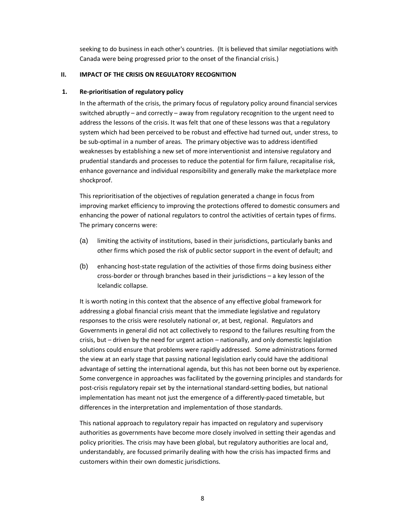seeking to do business in each other's countries. (It is believed that similar negotiations with Canada were being progressed prior to the onset of the financial crisis.)

### **II. IMPACT OF THE CRISIS ON REGULATORY RECOGNITION**

### **1. Re-prioritisation of regulatory policy**

In the aftermath of the crisis, the primary focus of regulatory policy around financial services switched abruptly – and correctly – away from regulatory recognition to the urgent need to address the lessons of the crisis. It was felt that one of these lessons was that a regulatory system which had been perceived to be robust and effective had turned out, under stress, to be sub-optimal in a number of areas. The primary objective was to address identified weaknesses by establishing a new set of more interventionist and intensive regulatory and prudential standards and processes to reduce the potential for firm failure, recapitalise risk, enhance governance and individual responsibility and generally make the marketplace more shockproof.

This reprioritisation of the objectives of regulation generated a change in focus from improving market efficiency to improving the protections offered to domestic consumers and enhancing the power of national regulators to control the activities of certain types of firms. The primary concerns were:

- (a) limiting the activity of institutions, based in their jurisdictions, particularly banks and other firms which posed the risk of public sector support in the event of default; and
- (b) enhancing host-state regulation of the activities of those firms doing business either cross-border or through branches based in their jurisdictions – a key lesson of the Icelandic collapse.

It is worth noting in this context that the absence of any effective global framework for addressing a global financial crisis meant that the immediate legislative and regulatory responses to the crisis were resolutely national or, at best, regional. Regulators and Governments in general did not act collectively to respond to the failures resulting from the crisis, but – driven by the need for urgent action – nationally, and only domestic legislation solutions could ensure that problems were rapidly addressed. Some administrations formed the view at an early stage that passing national legislation early could have the additional advantage of setting the international agenda, but this has not been borne out by experience. Some convergence in approaches was facilitated by the governing principles and standards for post-crisis regulatory repair set by the international standard-setting bodies, but national implementation has meant not just the emergence of a differently-paced timetable, but differences in the interpretation and implementation of those standards.

This national approach to regulatory repair has impacted on regulatory and supervisory authorities as governments have become more closely involved in setting their agendas and policy priorities. The crisis may have been global, but regulatory authorities are local and, understandably, are focussed primarily dealing with how the crisis has impacted firms and customers within their own domestic jurisdictions.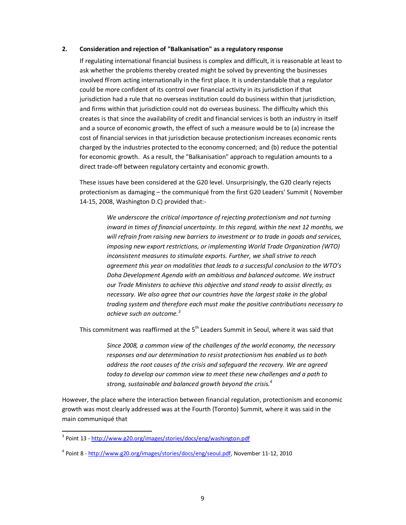### **2. Consideration and rejection of "Balkanisation" as a regulatory response**

If regulating international financial business is complex and difficult, it is reasonable at least to ask whether the problems thereby created might be solved by preventing the businesses involved fFrom acting internationally in the first place. It is understandable that a regulator could be more confident of its control over financial activity in its jurisdiction if that jurisdiction had a rule that no overseas institution could do business within that jurisdiction, and firms within that jurisdiction could not do overseas business. The difficulty which this creates is that since the availability of credit and financial services is both an industry in itself and a source of economic growth, the effect of such a measure would be to (a) increase the cost of financial services in that jurisdiction because protectionism increases economic rents charged by the industries protected to the economy concerned; and (b) reduce the potential for economic growth. As a result, the "Balkanisation" approach to regulation amounts to a direct trade-off between regulatory certainty and economic growth.

These issues have been considered at the G20 level. Unsurprisingly, the G20 clearly rejects protectionism as damaging – the communiqué from the first G20 Leaders' Summit ( November 14-15, 2008, Washington D.C) provided that:-

> *We underscore the critical importance of rejecting protectionism and not turning inward in times of financial uncertainty. In this regard, within the next 12 months, we will refrain from raising new barriers to investment or to trade in goods and services, imposing new export restrictions, or implementing World Trade Organization (WTO) inconsistent measures to stimulate exports. Further, we shall strive to reach agreement this year on modalities that leads to a successful conclusion to the WTO's Doha Development Agenda with an ambitious and balanced outcome. We instruct our Trade Ministers to achieve this objective and stand ready to assist directly, as necessary. We also agree that our countries have the largest stake in the global trading system and therefore each must make the positive contributions necessary to achieve such an outcome.<sup>3</sup>*

This commitment was reaffirmed at the  $5<sup>th</sup>$  Leaders Summit in Seoul, where it was said that

*Since 2008, a common view of the challenges of the world economy, the necessary responses and our determination to resist protectionism has enabled us to both address the root causes of the crisis and safeguard the recovery. We are agreed today to develop our common view to meet these new challenges and a path to strong, sustainable and balanced growth beyond the crisis.<sup>4</sup>*

However, the place where the interaction between financial regulation, protectionism and economic growth was most clearly addressed was at the Fourth (Toronto) Summit, where it was said in the main communiqué that

<sup>&</sup>lt;sup>3</sup> Point 13 - http://www.g20.org/images/stories/docs/eng/washington.pdf

<sup>4</sup> Point 8 - http://www.g20.org/images/stories/docs/eng/seoul.pdf, November 11-12, 2010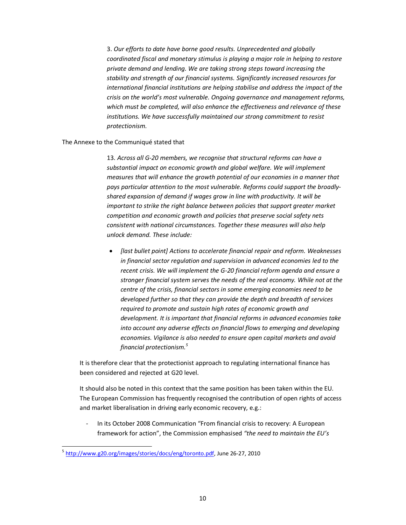3. *Our efforts to date have borne good results. Unprecedented and globally coordinated fiscal and monetary stimulus is playing a major role in helping to restore private demand and lending. We are taking strong steps toward increasing the stability and strength of our financial systems. Significantly increased resources for international financial institutions are helping stabilise and address the impact of the crisis on the world's most vulnerable. Ongoing governance and management reforms, which must be completed, will also enhance the effectiveness and relevance of these institutions. We have successfully maintained our strong commitment to resist protectionism.*

### The Annexe to the Communiqué stated that

13. *Across all G-20 members, we recognise that structural reforms can have a substantial impact on economic growth and global welfare. We will implement measures that will enhance the growth potential of our economies in a manner that pays particular attention to the most vulnerable. Reforms could support the broadlyshared expansion of demand if wages grow in line with productivity. It will be important to strike the right balance between policies that support greater market competition and economic growth and policies that preserve social safety nets consistent with national circumstances. Together these measures will also help unlock demand. These include:*

· *[last bullet point] Actions to accelerate financial repair and reform. Weaknesses in financial sector regulation and supervision in advanced economies led to the recent crisis. We will implement the G-20 financial reform agenda and ensure a stronger financial system serves the needs of the real economy. While not at the centre of the crisis, financial sectors in some emerging economies need to be developed further so that they can provide the depth and breadth of services required to promote and sustain high rates of economic growth and development. It is important that financial reforms in advanced economies take into account any adverse effects on financial flows to emerging and developing economies. Vigilance is also needed to ensure open capital markets and avoid financial protectionism.5*

It is therefore clear that the protectionist approach to regulating international finance has been considered and rejected at G20 level.

It should also be noted in this context that the same position has been taken within the EU. The European Commission has frequently recognised the contribution of open rights of access and market liberalisation in driving early economic recovery, e.g.:

In its October 2008 Communication "From financial crisis to recovery: A European framework for action", the Commission emphasised *"the need to maintain the EU's* 

<sup>&</sup>lt;sup>5</sup> http://www.g20.org/images/stories/docs/eng/toronto.pdf. June 26-27, 2010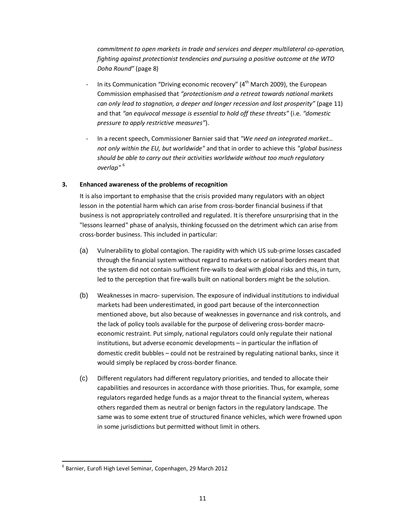*commitment to open markets in trade and services and deeper multilateral co-operation, fighting against protectionist tendencies and pursuing a positive outcome at the WTO Doha Round"* (page 8)

- In its Communication "Driving economic recovery" (4<sup>th</sup> March 2009), the European Commission emphasised that *"protectionism and a retreat towards national markets can only lead to stagnation, a deeper and longer recession and lost prosperity"* (page 11) and that *"an equivocal message is essential to hold off these threats"* (i.e. *"domestic pressure to apply restrictive measures"*).
- In a recent speech, Commissioner Barnier said that *"We need an integrated market… not only within the EU, but worldwide"* and that in order to achieve this *"global business should be able to carry out their activities worldwide without too much regulatory overlap"* <sup>6</sup>

# **3. Enhanced awareness of the problems of recognition**

It is also important to emphasise that the crisis provided many regulators with an object lesson in the potential harm which can arise from cross-border financial business if that business is not appropriately controlled and regulated. It is therefore unsurprising that in the "lessons learned" phase of analysis, thinking focussed on the detriment which can arise from cross-border business. This included in particular:

- (a) Vulnerability to global contagion. The rapidity with which US sub-prime losses cascaded through the financial system without regard to markets or national borders meant that the system did not contain sufficient fire-walls to deal with global risks and this, in turn, led to the perception that fire-walls built on national borders might be the solution.
- (b) Weaknesses in macro- supervision. The exposure of individual institutions to individual markets had been underestimated, in good part because of the interconnection mentioned above, but also because of weaknesses in governance and risk controls, and the lack of policy tools available for the purpose of delivering cross-border macroeconomic restraint. Put simply, national regulators could only regulate their national institutions, but adverse economic developments – in particular the inflation of domestic credit bubbles – could not be restrained by regulating national banks, since it would simply be replaced by cross-border finance.
- (c) Different regulators had different regulatory priorities, and tended to allocate their capabilities and resources in accordance with those priorities. Thus, for example, some regulators regarded hedge funds as a major threat to the financial system, whereas others regarded them as neutral or benign factors in the regulatory landscape. The same was to some extent true of structured finance vehicles, which were frowned upon in some jurisdictions but permitted without limit in others.

 $6$  Barnier, Eurofi High Level Seminar, Copenhagen, 29 March 2012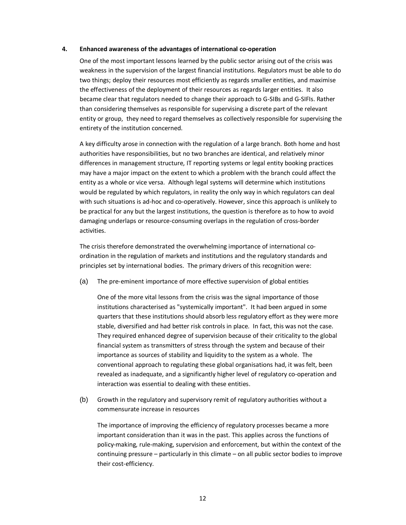### **4. Enhanced awareness of the advantages of international co-operation**

One of the most important lessons learned by the public sector arising out of the crisis was weakness in the supervision of the largest financial institutions. Regulators must be able to do two things; deploy their resources most efficiently as regards smaller entities, and maximise the effectiveness of the deployment of their resources as regards larger entities. It also became clear that regulators needed to change their approach to G-SIBs and G-SIFIs. Rather than considering themselves as responsible for supervising a discrete part of the relevant entity or group, they need to regard themselves as collectively responsible for supervising the entirety of the institution concerned.

A key difficulty arose in connection with the regulation of a large branch. Both home and host authorities have responsibilities, but no two branches are identical, and relatively minor differences in management structure, IT reporting systems or legal entity booking practices may have a major impact on the extent to which a problem with the branch could affect the entity as a whole or vice versa. Although legal systems will determine which institutions would be regulated by which regulators, in reality the only way in which regulators can deal with such situations is ad-hoc and co-operatively. However, since this approach is unlikely to be practical for any but the largest institutions, the question is therefore as to how to avoid damaging underlaps or resource-consuming overlaps in the regulation of cross-border activities.

The crisis therefore demonstrated the overwhelming importance of international coordination in the regulation of markets and institutions and the regulatory standards and principles set by international bodies. The primary drivers of this recognition were:

(a) The pre-eminent importance of more effective supervision of global entities

One of the more vital lessons from the crisis was the signal importance of those institutions characterised as "systemically important". It had been argued in some quarters that these institutions should absorb less regulatory effort as they were more stable, diversified and had better risk controls in place. In fact, this was not the case. They required enhanced degree of supervision because of their criticality to the global financial system as transmitters of stress through the system and because of their importance as sources of stability and liquidity to the system as a whole. The conventional approach to regulating these global organisations had, it was felt, been revealed as inadequate, and a significantly higher level of regulatory co-operation and interaction was essential to dealing with these entities.

(b) Growth in the regulatory and supervisory remit of regulatory authorities without a commensurate increase in resources

The importance of improving the efficiency of regulatory processes became a more important consideration than it was in the past. This applies across the functions of policy-making, rule-making, supervision and enforcement, but within the context of the continuing pressure – particularly in this climate – on all public sector bodies to improve their cost-efficiency.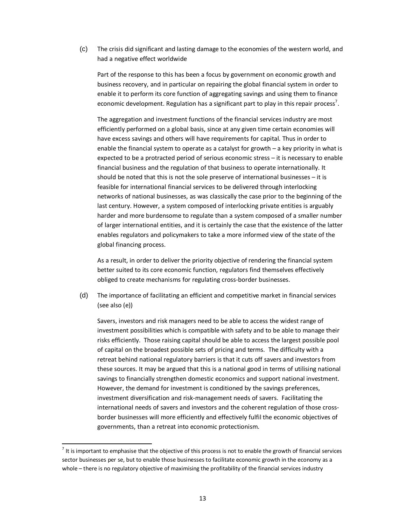(c) The crisis did significant and lasting damage to the economies of the western world, and had a negative effect worldwide

Part of the response to this has been a focus by government on economic growth and business recovery, and in particular on repairing the global financial system in order to enable it to perform its core function of aggregating savings and using them to finance economic development. Regulation has a significant part to play in this repair process<sup>7</sup>.

The aggregation and investment functions of the financial services industry are most efficiently performed on a global basis, since at any given time certain economies will have excess savings and others will have requirements for capital. Thus in order to enable the financial system to operate as a catalyst for growth – a key priority in what is expected to be a protracted period of serious economic stress – it is necessary to enable financial business and the regulation of that business to operate internationally. It should be noted that this is not the sole preserve of international businesses – it is feasible for international financial services to be delivered through interlocking networks of national businesses, as was classically the case prior to the beginning of the last century. However, a system composed of interlocking private entities is arguably harder and more burdensome to regulate than a system composed of a smaller number of larger international entities, and it is certainly the case that the existence of the latter enables regulators and policymakers to take a more informed view of the state of the global financing process.

As a result, in order to deliver the priority objective of rendering the financial system better suited to its core economic function, regulators find themselves effectively obliged to create mechanisms for regulating cross-border businesses.

(d) The importance of facilitating an efficient and competitive market in financial services (see also (e))

Savers, investors and risk managers need to be able to access the widest range of investment possibilities which is compatible with safety and to be able to manage their risks efficiently. Those raising capital should be able to access the largest possible pool of capital on the broadest possible sets of pricing and terms. The difficulty with a retreat behind national regulatory barriers is that it cuts off savers and investors from these sources. It may be argued that this is a national good in terms of utilising national savings to financially strengthen domestic economics and support national investment. However, the demand for investment is conditioned by the savings preferences, investment diversification and risk-management needs of savers. Facilitating the international needs of savers and investors and the coherent regulation of those crossborder businesses will more efficiently and effectively fulfil the economic objectives of governments, than a retreat into economic protectionism.

 $<sup>7</sup>$  It is important to emphasise that the objective of this process is not to enable the growth of financial services</sup> sector businesses per se, but to enable those businesses to facilitate economic growth in the economy as a whole – there is no regulatory objective of maximising the profitability of the financial services industry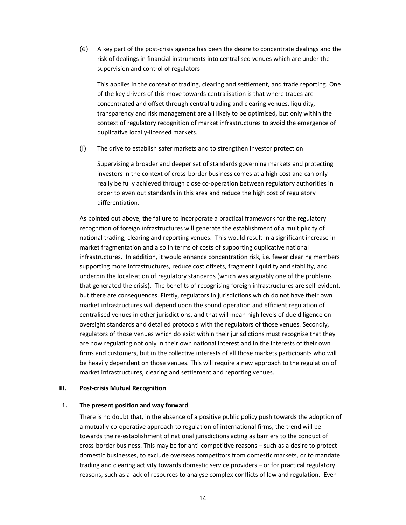(e) A key part of the post-crisis agenda has been the desire to concentrate dealings and the risk of dealings in financial instruments into centralised venues which are under the supervision and control of regulators

This applies in the context of trading, clearing and settlement, and trade reporting. One of the key drivers of this move towards centralisation is that where trades are concentrated and offset through central trading and clearing venues, liquidity, transparency and risk management are all likely to be optimised, but only within the context of regulatory recognition of market infrastructures to avoid the emergence of duplicative locally-licensed markets.

(f) The drive to establish safer markets and to strengthen investor protection

Supervising a broader and deeper set of standards governing markets and protecting investors in the context of cross-border business comes at a high cost and can only really be fully achieved through close co-operation between regulatory authorities in order to even out standards in this area and reduce the high cost of regulatory differentiation.

As pointed out above, the failure to incorporate a practical framework for the regulatory recognition of foreign infrastructures will generate the establishment of a multiplicity of national trading, clearing and reporting venues. This would result in a significant increase in market fragmentation and also in terms of costs of supporting duplicative national infrastructures. In addition, it would enhance concentration risk, i.e. fewer clearing members supporting more infrastructures, reduce cost offsets, fragment liquidity and stability, and underpin the localisation of regulatory standards (which was arguably one of the problems that generated the crisis). The benefits of recognising foreign infrastructures are self-evident, but there are consequences. Firstly, regulators in jurisdictions which do not have their own market infrastructures will depend upon the sound operation and efficient regulation of centralised venues in other jurisdictions, and that will mean high levels of due diligence on oversight standards and detailed protocols with the regulators of those venues. Secondly, regulators of those venues which do exist within their jurisdictions must recognise that they are now regulating not only in their own national interest and in the interests of their own firms and customers, but in the collective interests of all those markets participants who will be heavily dependent on those venues. This will require a new approach to the regulation of market infrastructures, clearing and settlement and reporting venues.

### **III. Post-crisis Mutual Recognition**

### **1. The present position and way forward**

There is no doubt that, in the absence of a positive public policy push towards the adoption of a mutually co-operative approach to regulation of international firms, the trend will be towards the re-establishment of national jurisdictions acting as barriers to the conduct of cross-border business. This may be for anti-competitive reasons – such as a desire to protect domestic businesses, to exclude overseas competitors from domestic markets, or to mandate trading and clearing activity towards domestic service providers – or for practical regulatory reasons, such as a lack of resources to analyse complex conflicts of law and regulation. Even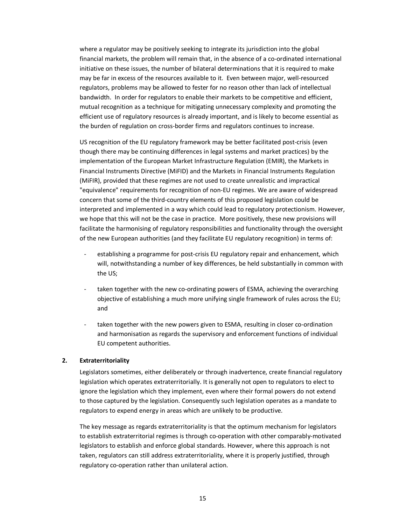where a regulator may be positively seeking to integrate its jurisdiction into the global financial markets, the problem will remain that, in the absence of a co-ordinated international initiative on these issues, the number of bilateral determinations that it is required to make may be far in excess of the resources available to it. Even between major, well-resourced regulators, problems may be allowed to fester for no reason other than lack of intellectual bandwidth. In order for regulators to enable their markets to be competitive and efficient, mutual recognition as a technique for mitigating unnecessary complexity and promoting the efficient use of regulatory resources is already important, and is likely to become essential as the burden of regulation on cross-border firms and regulators continues to increase.

US recognition of the EU regulatory framework may be better facilitated post-crisis (even though there may be continuing differences in legal systems and market practices) by the implementation of the European Market Infrastructure Regulation (EMIR), the Markets in Financial Instruments Directive (MiFID) and the Markets in Financial Instruments Regulation (MiFIR), provided that these regimes are not used to create unrealistic and impractical "equivalence" requirements for recognition of non-EU regimes. We are aware of widespread concern that some of the third-country elements of this proposed legislation could be interpreted and implemented in a way which could lead to regulatory protectionism. However, we hope that this will not be the case in practice. More positively, these new provisions will facilitate the harmonising of regulatory responsibilities and functionality through the oversight of the new European authorities (and they facilitate EU regulatory recognition) in terms of:

- establishing a programme for post-crisis EU regulatory repair and enhancement, which will, notwithstanding a number of key differences, be held substantially in common with the US;
- taken together with the new co-ordinating powers of ESMA, achieving the overarching objective of establishing a much more unifying single framework of rules across the EU; and
- taken together with the new powers given to ESMA, resulting in closer co-ordination and harmonisation as regards the supervisory and enforcement functions of individual EU competent authorities.

### **2. Extraterritoriality**

Legislators sometimes, either deliberately or through inadvertence, create financial regulatory legislation which operates extraterritorially. It is generally not open to regulators to elect to ignore the legislation which they implement, even where their formal powers do not extend to those captured by the legislation. Consequently such legislation operates as a mandate to regulators to expend energy in areas which are unlikely to be productive.

The key message as regards extraterritoriality is that the optimum mechanism for legislators to establish extraterritorial regimes is through co-operation with other comparably-motivated legislators to establish and enforce global standards. However, where this approach is not taken, regulators can still address extraterritoriality, where it is properly justified, through regulatory co-operation rather than unilateral action.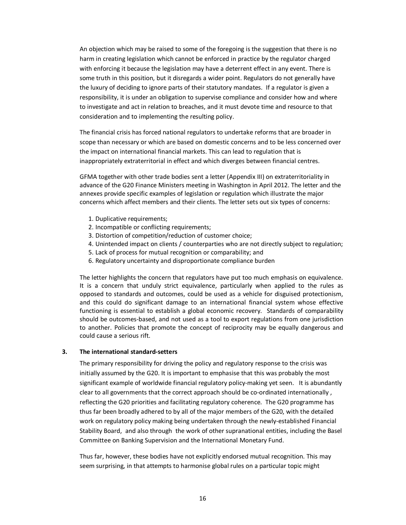An objection which may be raised to some of the foregoing is the suggestion that there is no harm in creating legislation which cannot be enforced in practice by the regulator charged with enforcing it because the legislation may have a deterrent effect in any event. There is some truth in this position, but it disregards a wider point. Regulators do not generally have the luxury of deciding to ignore parts of their statutory mandates. If a regulator is given a responsibility, it is under an obligation to supervise compliance and consider how and where to investigate and act in relation to breaches, and it must devote time and resource to that consideration and to implementing the resulting policy.

The financial crisis has forced national regulators to undertake reforms that are broader in scope than necessary or which are based on domestic concerns and to be less concerned over the impact on international financial markets. This can lead to regulation that is inappropriately extraterritorial in effect and which diverges between financial centres.

GFMA together with other trade bodies sent a letter (Appendix III) on extraterritoriality in advance of the G20 Finance Ministers meeting in Washington in April 2012. The letter and the annexes provide specific examples of legislation or regulation which illustrate the major concerns which affect members and their clients. The letter sets out six types of concerns:

- 1. Duplicative requirements;
- 2. Incompatible or conflicting requirements;
- 3. Distortion of competition/reduction of customer choice;
- 4. Unintended impact on clients / counterparties who are not directly subject to regulation;
- 5. Lack of process for mutual recognition or comparability; and
- 6. Regulatory uncertainty and disproportionate compliance burden

The letter highlights the concern that regulators have put too much emphasis on equivalence. It is a concern that unduly strict equivalence, particularly when applied to the rules as opposed to standards and outcomes, could be used as a vehicle for disguised protectionism, and this could do significant damage to an international financial system whose effective functioning is essential to establish a global economic recovery. Standards of comparability should be outcomes-based, and not used as a tool to export regulations from one jurisdiction to another. Policies that promote the concept of reciprocity may be equally dangerous and could cause a serious rift.

### **3. The international standard-setters**

The primary responsibility for driving the policy and regulatory response to the crisis was initially assumed by the G20. It is important to emphasise that this was probably the most significant example of worldwide financial regulatory policy-making yet seen. It is abundantly clear to all governments that the correct approach should be co-ordinated internationally , reflecting the G20 priorities and facilitating regulatory coherence. The G20 programme has thus far been broadly adhered to by all of the major members of the G20, with the detailed work on regulatory policy making being undertaken through the newly-established Financial Stability Board, and also through the work of other supranational entities, including the Basel Committee on Banking Supervision and the International Monetary Fund.

Thus far, however, these bodies have not explicitly endorsed mutual recognition. This may seem surprising, in that attempts to harmonise global rules on a particular topic might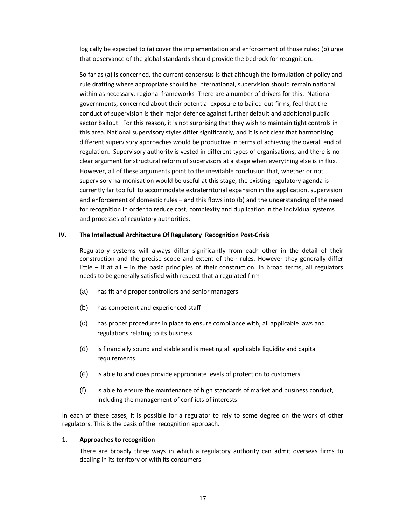logically be expected to (a) cover the implementation and enforcement of those rules; (b) urge that observance of the global standards should provide the bedrock for recognition.

So far as (a) is concerned, the current consensus is that although the formulation of policy and rule drafting where appropriate should be international, supervision should remain national within as necessary, regional frameworks There are a number of drivers for this. National governments, concerned about their potential exposure to bailed-out firms, feel that the conduct of supervision is their major defence against further default and additional public sector bailout. For this reason, it is not surprising that they wish to maintain tight controls in this area. National supervisory styles differ significantly, and it is not clear that harmonising different supervisory approaches would be productive in terms of achieving the overall end of regulation. Supervisory authority is vested in different types of organisations, and there is no clear argument for structural reform of supervisors at a stage when everything else is in flux. However, all of these arguments point to the inevitable conclusion that, whether or not supervisory harmonisation would be useful at this stage, the existing regulatory agenda is currently far too full to accommodate extraterritorial expansion in the application, supervision and enforcement of domestic rules – and this flows into (b) and the understanding of the need for recognition in order to reduce cost, complexity and duplication in the individual systems and processes of regulatory authorities.

### **IV. The Intellectual Architecture Of Regulatory Recognition Post-Crisis**

Regulatory systems will always differ significantly from each other in the detail of their construction and the precise scope and extent of their rules. However they generally differ little – if at all – in the basic principles of their construction. In broad terms, all regulators needs to be generally satisfied with respect that a regulated firm

- (a) has fit and proper controllers and senior managers
- (b) has competent and experienced staff
- (c) has proper procedures in place to ensure compliance with, all applicable laws and regulations relating to its business
- (d) is financially sound and stable and is meeting all applicable liquidity and capital requirements
- (e) is able to and does provide appropriate levels of protection to customers
- (f) is able to ensure the maintenance of high standards of market and business conduct, including the management of conflicts of interests

In each of these cases, it is possible for a regulator to rely to some degree on the work of other regulators. This is the basis of the recognition approach.

### **1. Approaches to recognition**

There are broadly three ways in which a regulatory authority can admit overseas firms to dealing in its territory or with its consumers.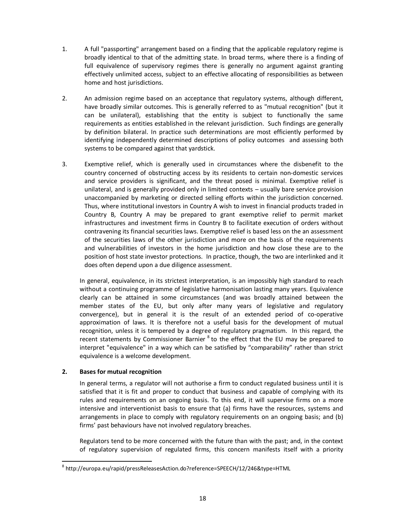- 1. A full "passporting" arrangement based on a finding that the applicable regulatory regime is broadly identical to that of the admitting state. In broad terms, where there is a finding of full equivalence of supervisory regimes there is generally no argument against granting effectively unlimited access, subject to an effective allocating of responsibilities as between home and host jurisdictions.
- 2. An admission regime based on an acceptance that regulatory systems, although different, have broadly similar outcomes. This is generally referred to as "mutual recognition" (but it can be unilateral), establishing that the entity is subject to functionally the same requirements as entities established in the relevant jurisdiction. Such findings are generally by definition bilateral. In practice such determinations are most efficiently performed by identifying independently determined descriptions of policy outcomes and assessing both systems to be compared against that yardstick.
- 3. Exemptive relief, which is generally used in circumstances where the disbenefit to the country concerned of obstructing access by its residents to certain non-domestic services and service providers is significant, and the threat posed is minimal. Exemptive relief is unilateral, and is generally provided only in limited contexts – usually bare service provision unaccompanied by marketing or directed selling efforts within the jurisdiction concerned. Thus, where institutional investors in Country A wish to invest in financial products traded in Country B, Country A may be prepared to grant exemptive relief to permit market infrastructures and investment firms in Country B to facilitate execution of orders without contravening its financial securities laws. Exemptive relief is based less on the an assessment of the securities laws of the other jurisdiction and more on the basis of the requirements and vulnerabilities of investors in the home jurisdiction and how close these are to the position of host state investor protections. In practice, though, the two are interlinked and it does often depend upon a due diligence assessment.

In general, equivalence, in its strictest interpretation, is an impossibly high standard to reach without a continuing programme of legislative harmonisation lasting many years. Equivalence clearly can be attained in some circumstances (and was broadly attained between the member states of the EU, but only after many years of legislative and regulatory convergence), but in general it is the result of an extended period of co-operative approximation of laws. It is therefore not a useful basis for the development of mutual recognition, unless it is tempered by a degree of regulatory pragmatism. In this regard, the recent statements by Commissioner Barnier  $8$  to the effect that the EU may be prepared to interpret "equivalence" in a way which can be satisfied by "comparability" rather than strict equivalence is a welcome development.

# **2. Bases for mutual recognition**

In general terms, a regulator will not authorise a firm to conduct regulated business until it is satisfied that it is fit and proper to conduct that business and capable of complying with its rules and requirements on an ongoing basis. To this end, it will supervise firms on a more intensive and interventionist basis to ensure that (a) firms have the resources, systems and arrangements in place to comply with regulatory requirements on an ongoing basis; and (b) firms' past behaviours have not involved regulatory breaches.

Regulators tend to be more concerned with the future than with the past; and, in the context of regulatory supervision of regulated firms, this concern manifests itself with a priority

<sup>&</sup>lt;sup>8</sup> http://europa.eu/rapid/pressReleasesAction.do?reference=SPEECH/12/246&type=HTML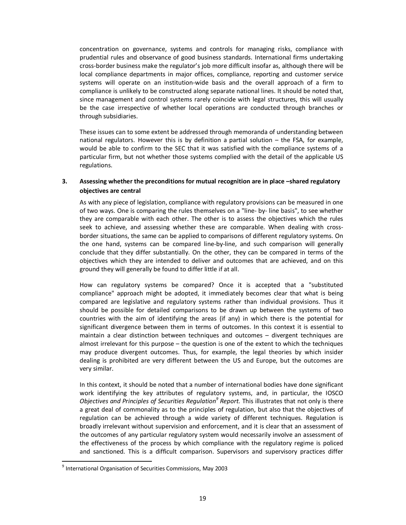concentration on governance, systems and controls for managing risks, compliance with prudential rules and observance of good business standards. International firms undertaking cross-border business make the regulator's job more difficult insofar as, although there will be local compliance departments in major offices, compliance, reporting and customer service systems will operate on an institution-wide basis and the overall approach of a firm to compliance is unlikely to be constructed along separate national lines. It should be noted that, since management and control systems rarely coincide with legal structures, this will usually be the case irrespective of whether local operations are conducted through branches or through subsidiaries.

These issues can to some extent be addressed through memoranda of understanding between national regulators. However this is by definition a partial solution – the FSA, for example, would be able to confirm to the SEC that it was satisfied with the compliance systems of a particular firm, but not whether those systems complied with the detail of the applicable US regulations.

# **3. Assessing whether the preconditions for mutual recognition are in place –shared regulatory objectives are central**

As with any piece of legislation, compliance with regulatory provisions can be measured in one of two ways. One is comparing the rules themselves on a "line- by- line basis", to see whether they are comparable with each other. The other is to assess the objectives which the rules seek to achieve, and assessing whether these are comparable. When dealing with crossborder situations, the same can be applied to comparisons of different regulatory systems. On the one hand, systems can be compared line-by-line, and such comparison will generally conclude that they differ substantially. On the other, they can be compared in terms of the objectives which they are intended to deliver and outcomes that are achieved, and on this ground they will generally be found to differ little if at all.

How can regulatory systems be compared? Once it is accepted that a "substituted compliance" approach might be adopted, it immediately becomes clear that what is being compared are legislative and regulatory systems rather than individual provisions. Thus it should be possible for detailed comparisons to be drawn up between the systems of two countries with the aim of identifying the areas (if any) in which there is the potential for significant divergence between them in terms of outcomes. In this context it is essential to maintain a clear distinction between techniques and outcomes – divergent techniques are almost irrelevant for this purpose – the question is one of the extent to which the techniques may produce divergent outcomes. Thus, for example, the legal theories by which insider dealing is prohibited are very different between the US and Europe, but the outcomes are very similar.

In this context, it should be noted that a number of international bodies have done significant work identifying the key attributes of regulatory systems, and, in particular, the IOSCO *Objectives and Principles of Securities Regulation<sup>9</sup> Report. This illustrates that not only is there* a great deal of commonality as to the principles of regulation, but also that the objectives of regulation can be achieved through a wide variety of different techniques. Regulation is broadly irrelevant without supervision and enforcement, and it is clear that an assessment of the outcomes of any particular regulatory system would necessarily involve an assessment of the effectiveness of the process by which compliance with the regulatory regime is policed and sanctioned. This is a difficult comparison. Supervisors and supervisory practices differ

 $9$  International Organisation of Securities Commissions, May 2003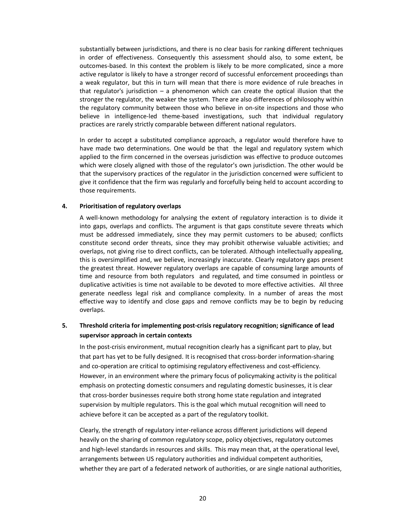substantially between jurisdictions, and there is no clear basis for ranking different techniques in order of effectiveness. Consequently this assessment should also, to some extent, be outcomes-based. In this context the problem is likely to be more complicated, since a more active regulator is likely to have a stronger record of successful enforcement proceedings than a weak regulator, but this in turn will mean that there is more evidence of rule breaches in that regulator's jurisdiction – a phenomenon which can create the optical illusion that the stronger the regulator, the weaker the system. There are also differences of philosophy within the regulatory community between those who believe in on-site inspections and those who believe in intelligence-led theme-based investigations, such that individual regulatory practices are rarely strictly comparable between different national regulators.

In order to accept a substituted compliance approach, a regulator would therefore have to have made two determinations. One would be that the legal and regulatory system which applied to the firm concerned in the overseas jurisdiction was effective to produce outcomes which were closely aligned with those of the regulator's own jurisdiction. The other would be that the supervisory practices of the regulator in the jurisdiction concerned were sufficient to give it confidence that the firm was regularly and forcefully being held to account according to those requirements.

### **4. Prioritisation of regulatory overlaps**

A well-known methodology for analysing the extent of regulatory interaction is to divide it into gaps, overlaps and conflicts. The argument is that gaps constitute severe threats which must be addressed immediately, since they may permit customers to be abused; conflicts constitute second order threats, since they may prohibit otherwise valuable activities; and overlaps, not giving rise to direct conflicts, can be tolerated. Although intellectually appealing, this is oversimplified and, we believe, increasingly inaccurate. Clearly regulatory gaps present the greatest threat. However regulatory overlaps are capable of consuming large amounts of time and resource from both regulators and regulated, and time consumed in pointless or duplicative activities is time not available to be devoted to more effective activities. All three generate needless legal risk and compliance complexity. In a number of areas the most effective way to identify and close gaps and remove conflicts may be to begin by reducing overlaps.

# **5. Threshold criteria for implementing post-crisis regulatory recognition; significance of lead supervisor approach in certain contexts**

In the post-crisis environment, mutual recognition clearly has a significant part to play, but that part has yet to be fully designed. It is recognised that cross-border information-sharing and co-operation are critical to optimising regulatory effectiveness and cost-efficiency. However, in an environment where the primary focus of policymaking activity is the political emphasis on protecting domestic consumers and regulating domestic businesses, it is clear that cross-border businesses require both strong home state regulation and integrated supervision by multiple regulators. This is the goal which mutual recognition will need to achieve before it can be accepted as a part of the regulatory toolkit.

Clearly, the strength of regulatory inter-reliance across different jurisdictions will depend heavily on the sharing of common regulatory scope, policy objectives, regulatory outcomes and high-level standards in resources and skills. This may mean that, at the operational level, arrangements between US regulatory authorities and individual competent authorities, whether they are part of a federated network of authorities, or are single national authorities,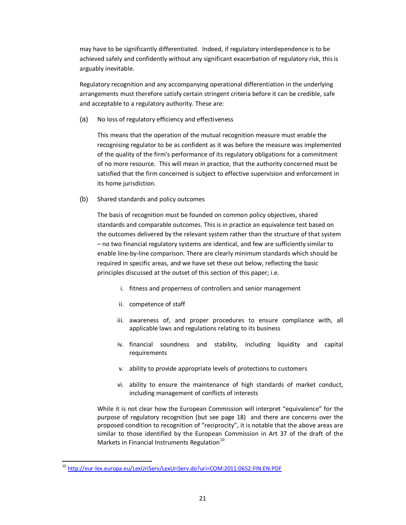may have to be significantly differentiated. Indeed, if regulatory interdependence is to be achieved safely and confidently without any significant exacerbation of regulatory risk, this is arguably inevitable.

Regulatory recognition and any accompanying operational differentiation in the underlying arrangements must therefore satisfy certain stringent criteria before it can be credible, safe and acceptable to a regulatory authority. These are:

(a) No loss of regulatory efficiency and effectiveness

This means that the operation of the mutual recognition measure must enable the recognising regulator to be as confident as it was before the measure was implemented of the quality of the firm's performance of its regulatory obligations for a commitment of no more resource. This will mean in practice, that the authority concerned must be satisfied that the firm concerned is subject to effective supervision and enforcement in its home jurisdiction.

(b) Shared standards and policy outcomes

The basis of recognition must be founded on common policy objectives, shared standards and comparable outcomes. This is in practice an equivalence test based on the outcomes delivered by the relevant system rather than the structure of that system – no two financial regulatory systems are identical, and few are sufficiently similar to enable line-by-line comparison. There are clearly minimum standards which should be required in specific areas, and we have set these out below, reflecting the basic principles discussed at the outset of this section of this paper; i.e.

- i. fitness and properness of controllers and senior management
- ii. competence of staff
- iii. awareness of, and proper procedures to ensure compliance with, all applicable laws and regulations relating to its business
- iv. financial soundness and stability, including liquidity and capital requirements
- v. ability to provide appropriate levels of protections to customers
- vi. ability to ensure the maintenance of high standards of market conduct, including management of conflicts of interests

While it is not clear how the European Commission will interpret "equivalence" for the purpose of regulatory recognition (but see page 18) and there are concerns over the proposed condition to recognition of "reciprocity", it is notable that the above areas are similar to those identified by the European Commission in Art 37 of the draft of the Markets in Financial Instruments Regulation $^{10}$ 

 <sup>10</sup> http://eur-lex.europa.eu/LexUriServ/LexUriServ.do?uri=COM:2011:0652:FIN:EN:PDF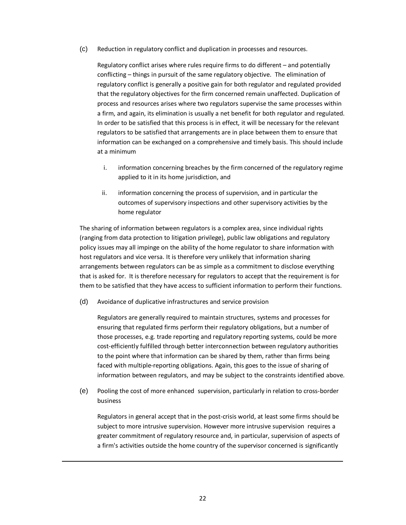(c) Reduction in regulatory conflict and duplication in processes and resources.

Regulatory conflict arises where rules require firms to do different – and potentially conflicting – things in pursuit of the same regulatory objective. The elimination of regulatory conflict is generally a positive gain for both regulator and regulated provided that the regulatory objectives for the firm concerned remain unaffected. Duplication of process and resources arises where two regulators supervise the same processes within a firm, and again, its elimination is usually a net benefit for both regulator and regulated. In order to be satisfied that this process is in effect, it will be necessary for the relevant regulators to be satisfied that arrangements are in place between them to ensure that information can be exchanged on a comprehensive and timely basis. This should include at a minimum

- i. information concerning breaches by the firm concerned of the regulatory regime applied to it in its home jurisdiction, and
- ii. information concerning the process of supervision, and in particular the outcomes of supervisory inspections and other supervisory activities by the home regulator

The sharing of information between regulators is a complex area, since individual rights (ranging from data protection to litigation privilege), public law obligations and regulatory policy issues may all impinge on the ability of the home regulator to share information with host regulators and vice versa. It is therefore very unlikely that information sharing arrangements between regulators can be as simple as a commitment to disclose everything that is asked for. It is therefore necessary for regulators to accept that the requirement is for them to be satisfied that they have access to sufficient information to perform their functions.

(d) Avoidance of duplicative infrastructures and service provision

**.** 

Regulators are generally required to maintain structures, systems and processes for ensuring that regulated firms perform their regulatory obligations, but a number of those processes, e.g. trade reporting and regulatory reporting systems, could be more cost-efficiently fulfilled through better interconnection between regulatory authorities to the point where that information can be shared by them, rather than firms being faced with multiple-reporting obligations. Again, this goes to the issue of sharing of information between regulators, and may be subject to the constraints identified above.

(e) Pooling the cost of more enhanced supervision, particularly in relation to cross-border business

Regulators in general accept that in the post-crisis world, at least some firms should be subject to more intrusive supervision. However more intrusive supervision requires a greater commitment of regulatory resource and, in particular, supervision of aspects of a firm's activities outside the home country of the supervisor concerned is significantly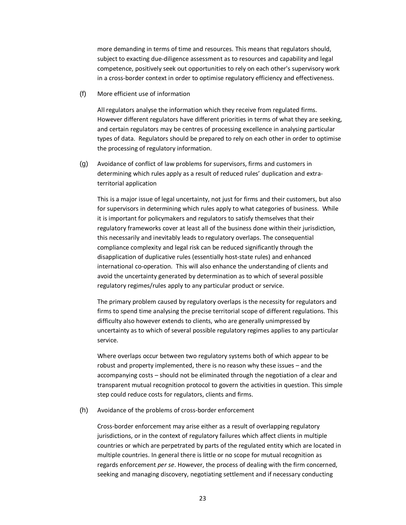more demanding in terms of time and resources. This means that regulators should, subject to exacting due-diligence assessment as to resources and capability and legal competence, positively seek out opportunities to rely on each other's supervisory work in a cross-border context in order to optimise regulatory efficiency and effectiveness.

(f) More efficient use of information

All regulators analyse the information which they receive from regulated firms. However different regulators have different priorities in terms of what they are seeking, and certain regulators may be centres of processing excellence in analysing particular types of data. Regulators should be prepared to rely on each other in order to optimise the processing of regulatory information.

(g) Avoidance of conflict of law problems for supervisors, firms and customers in determining which rules apply as a result of reduced rules' duplication and extraterritorial application

This is a major issue of legal uncertainty, not just for firms and their customers, but also for supervisors in determining which rules apply to what categories of business. While it is important for policymakers and regulators to satisfy themselves that their regulatory frameworks cover at least all of the business done within their jurisdiction, this necessarily and inevitably leads to regulatory overlaps. The consequential compliance complexity and legal risk can be reduced significantly through the disapplication of duplicative rules (essentially host-state rules) and enhanced international co-operation. This will also enhance the understanding of clients and avoid the uncertainty generated by determination as to which of several possible regulatory regimes/rules apply to any particular product or service.

The primary problem caused by regulatory overlaps is the necessity for regulators and firms to spend time analysing the precise territorial scope of different regulations. This difficulty also however extends to clients, who are generally unimpressed by uncertainty as to which of several possible regulatory regimes applies to any particular service.

Where overlaps occur between two regulatory systems both of which appear to be robust and property implemented, there is no reason why these issues – and the accompanying costs – should not be eliminated through the negotiation of a clear and transparent mutual recognition protocol to govern the activities in question. This simple step could reduce costs for regulators, clients and firms.

(h) Avoidance of the problems of cross-border enforcement

Cross-border enforcement may arise either as a result of overlapping regulatory jurisdictions, or in the context of regulatory failures which affect clients in multiple countries or which are perpetrated by parts of the regulated entity which are located in multiple countries. In general there is little or no scope for mutual recognition as regards enforcement *per se*. However, the process of dealing with the firm concerned, seeking and managing discovery, negotiating settlement and if necessary conducting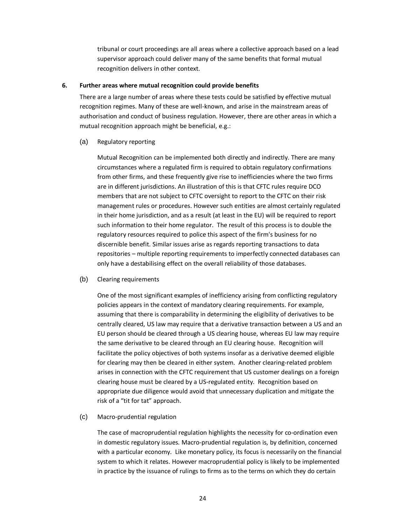tribunal or court proceedings are all areas where a collective approach based on a lead supervisor approach could deliver many of the same benefits that formal mutual recognition delivers in other context.

### **6. Further areas where mutual recognition could provide benefits**

There are a large number of areas where these tests could be satisfied by effective mutual recognition regimes. Many of these are well-known, and arise in the mainstream areas of authorisation and conduct of business regulation. However, there are other areas in which a mutual recognition approach might be beneficial, e.g.:

### (a) Regulatory reporting

Mutual Recognition can be implemented both directly and indirectly. There are many circumstances where a regulated firm is required to obtain regulatory confirmations from other firms, and these frequently give rise to inefficiencies where the two firms are in different jurisdictions. An illustration of this is that CFTC rules require DCO members that are not subject to CFTC oversight to report to the CFTC on their risk management rules or procedures. However such entities are almost certainly regulated in their home jurisdiction, and as a result (at least in the EU) will be required to report such information to their home regulator. The result of this process is to double the regulatory resources required to police this aspect of the firm's business for no discernible benefit. Similar issues arise as regards reporting transactions to data repositories – multiple reporting requirements to imperfectly connected databases can only have a destabilising effect on the overall reliability of those databases.

### (b) Clearing requirements

One of the most significant examples of inefficiency arising from conflicting regulatory policies appears in the context of mandatory clearing requirements. For example, assuming that there is comparability in determining the eligibility of derivatives to be centrally cleared, US law may require that a derivative transaction between a US and an EU person should be cleared through a US clearing house, whereas EU law may require the same derivative to be cleared through an EU clearing house. Recognition will facilitate the policy objectives of both systems insofar as a derivative deemed eligible for clearing may then be cleared in either system. Another clearing-related problem arises in connection with the CFTC requirement that US customer dealings on a foreign clearing house must be cleared by a US-regulated entity. Recognition based on appropriate due diligence would avoid that unnecessary duplication and mitigate the risk of a "tit for tat" approach.

(c) Macro-prudential regulation

The case of macroprudential regulation highlights the necessity for co-ordination even in domestic regulatory issues. Macro-prudential regulation is, by definition, concerned with a particular economy. Like monetary policy, its focus is necessarily on the financial system to which it relates. However macroprudential policy is likely to be implemented in practice by the issuance of rulings to firms as to the terms on which they do certain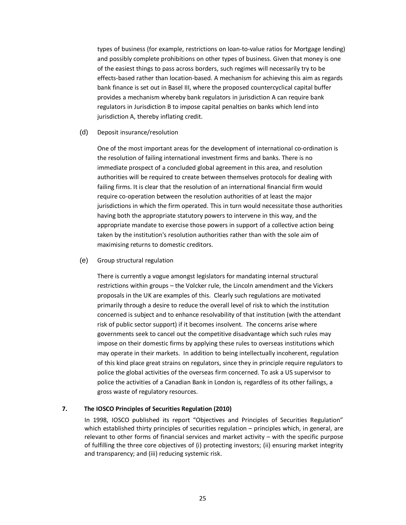types of business (for example, restrictions on loan-to-value ratios for Mortgage lending) and possibly complete prohibitions on other types of business. Given that money is one of the easiest things to pass across borders, such regimes will necessarily try to be effects-based rather than location-based. A mechanism for achieving this aim as regards bank finance is set out in Basel III, where the proposed countercyclical capital buffer provides a mechanism whereby bank regulators in jurisdiction A can require bank regulators in Jurisdiction B to impose capital penalties on banks which lend into jurisdiction A, thereby inflating credit.

### (d) Deposit insurance/resolution

One of the most important areas for the development of international co-ordination is the resolution of failing international investment firms and banks. There is no immediate prospect of a concluded global agreement in this area, and resolution authorities will be required to create between themselves protocols for dealing with failing firms. It is clear that the resolution of an international financial firm would require co-operation between the resolution authorities of at least the major jurisdictions in which the firm operated. This in turn would necessitate those authorities having both the appropriate statutory powers to intervene in this way, and the appropriate mandate to exercise those powers in support of a collective action being taken by the institution's resolution authorities rather than with the sole aim of maximising returns to domestic creditors.

### (e) Group structural regulation

There is currently a vogue amongst legislators for mandating internal structural restrictions within groups – the Volcker rule, the Lincoln amendment and the Vickers proposals in the UK are examples of this. Clearly such regulations are motivated primarily through a desire to reduce the overall level of risk to which the institution concerned is subject and to enhance resolvability of that institution (with the attendant risk of public sector support) if it becomes insolvent. The concerns arise where governments seek to cancel out the competitive disadvantage which such rules may impose on their domestic firms by applying these rules to overseas institutions which may operate in their markets. In addition to being intellectually incoherent, regulation of this kind place great strains on regulators, since they in principle require regulators to police the global activities of the overseas firm concerned. To ask a US supervisor to police the activities of a Canadian Bank in London is, regardless of its other failings, a gross waste of regulatory resources.

# **7. The IOSCO Principles of Securities Regulation (2010)**

In 1998, IOSCO published its report "Objectives and Principles of Securities Regulation" which established thirty principles of securities regulation – principles which, in general, are relevant to other forms of financial services and market activity – with the specific purpose of fulfilling the three core objectives of (i) protecting investors; (ii) ensuring market integrity and transparency; and (iii) reducing systemic risk.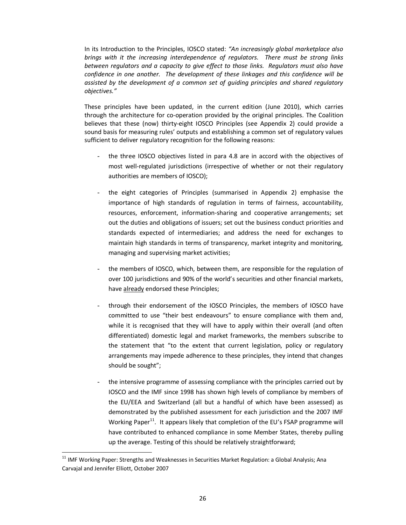In its Introduction to the Principles, IOSCO stated: *"An increasingly global marketplace also brings with it the increasing interdependence of regulators. There must be strong links between regulators and a capacity to give effect to those links. Regulators must also have confidence in one another. The development of these linkages and this confidence will be assisted by the development of a common set of guiding principles and shared regulatory objectives."*

These principles have been updated, in the current edition (June 2010), which carries through the architecture for co-operation provided by the original principles. The Coalition believes that these (now) thirty-eight IOSCO Principles (see Appendix 2) could provide a sound basis for measuring rules' outputs and establishing a common set of regulatory values sufficient to deliver regulatory recognition for the following reasons:

- the three IOSCO objectives listed in para 4.8 are in accord with the objectives of most well-regulated jurisdictions (irrespective of whether or not their regulatory authorities are members of IOSCO);
- the eight categories of Principles (summarised in Appendix 2) emphasise the importance of high standards of regulation in terms of fairness, accountability, resources, enforcement, information-sharing and cooperative arrangements; set out the duties and obligations of issuers; set out the business conduct priorities and standards expected of intermediaries; and address the need for exchanges to maintain high standards in terms of transparency, market integrity and monitoring, managing and supervising market activities;
- the members of IOSCO, which, between them, are responsible for the regulation of over 100 jurisdictions and 90% of the world's securities and other financial markets, have already endorsed these Principles;
- through their endorsement of the IOSCO Principles, the members of IOSCO have committed to use "their best endeavours" to ensure compliance with them and, while it is recognised that they will have to apply within their overall (and often differentiated) domestic legal and market frameworks, the members subscribe to the statement that "to the extent that current legislation, policy or regulatory arrangements may impede adherence to these principles, they intend that changes should be sought";
- the intensive programme of assessing compliance with the principles carried out by IOSCO and the IMF since 1998 has shown high levels of compliance by members of the EU/EEA and Switzerland (all but a handful of which have been assessed) as demonstrated by the published assessment for each jurisdiction and the 2007 IMF Working Paper<sup>11</sup>. It appears likely that completion of the EU's FSAP programme will have contributed to enhanced compliance in some Member States, thereby pulling up the average. Testing of this should be relatively straightforward;

 $11$  IMF Working Paper: Strengths and Weaknesses in Securities Market Regulation: a Global Analysis; Ana Carvajal and Jennifer Elliott, October 2007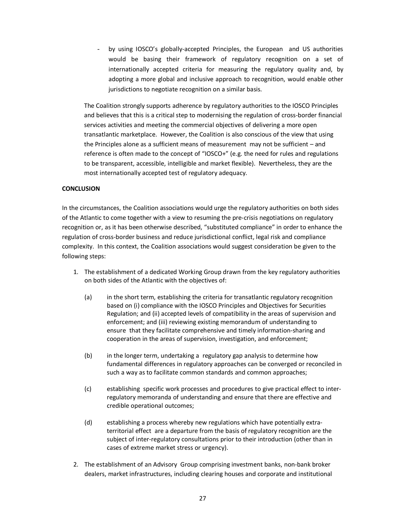- by using IOSCO's globally-accepted Principles, the European and US authorities would be basing their framework of regulatory recognition on a set of internationally accepted criteria for measuring the regulatory quality and, by adopting a more global and inclusive approach to recognition, would enable other jurisdictions to negotiate recognition on a similar basis.

The Coalition strongly supports adherence by regulatory authorities to the IOSCO Principles and believes that this is a critical step to modernising the regulation of cross-border financial services activities and meeting the commercial objectives of delivering a more open transatlantic marketplace. However, the Coalition is also conscious of the view that using the Principles alone as a sufficient means of measurement may not be sufficient – and reference is often made to the concept of "IOSCO+" (e.g. the need for rules and regulations to be transparent, accessible, intelligible and market flexible). Nevertheless, they are the most internationally accepted test of regulatory adequacy.

### **CONCLUSION**

In the circumstances, the Coalition associations would urge the regulatory authorities on both sides of the Atlantic to come together with a view to resuming the pre-crisis negotiations on regulatory recognition or, as it has been otherwise described, "substituted compliance" in order to enhance the regulation of cross-border business and reduce jurisdictional conflict, legal risk and compliance complexity. In this context, the Coalition associations would suggest consideration be given to the following steps:

- 1. The establishment of a dedicated Working Group drawn from the key regulatory authorities on both sides of the Atlantic with the objectives of:
	- (a) in the short term, establishing the criteria for transatlantic regulatory recognition based on (i) compliance with the IOSCO Principles and Objectives for Securities Regulation; and (ii) accepted levels of compatibility in the areas of supervision and enforcement; and (iii) reviewing existing memorandum of understanding to ensure that they facilitate comprehensive and timely information-sharing and cooperation in the areas of supervision, investigation, and enforcement;
	- (b) in the longer term, undertaking a regulatory gap analysis to determine how fundamental differences in regulatory approaches can be converged or reconciled in such a way as to facilitate common standards and common approaches;
	- (c) establishing specific work processes and procedures to give practical effect to interregulatory memoranda of understanding and ensure that there are effective and credible operational outcomes;
	- (d) establishing a process whereby new regulations which have potentially extraterritorial effect are a departure from the basis of regulatory recognition are the subject of inter-regulatory consultations prior to their introduction (other than in cases of extreme market stress or urgency).
- 2. The establishment of an Advisory Group comprising investment banks, non-bank broker dealers, market infrastructures, including clearing houses and corporate and institutional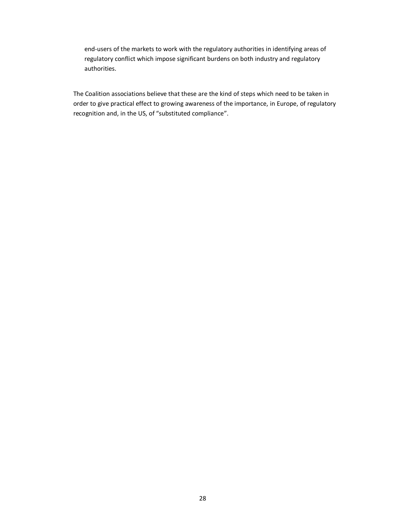end-users of the markets to work with the regulatory authorities in identifying areas of regulatory conflict which impose significant burdens on both industry and regulatory authorities.

The Coalition associations believe that these are the kind of steps which need to be taken in order to give practical effect to growing awareness of the importance, in Europe, of regulatory recognition and, in the US, of "substituted compliance".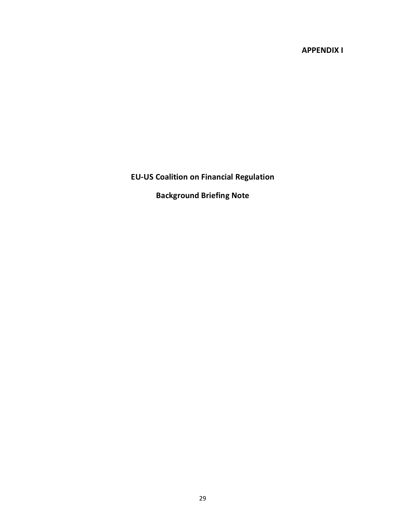# **APPENDIX I**

**EU-US Coalition on Financial Regulation**

**Background Briefing Note**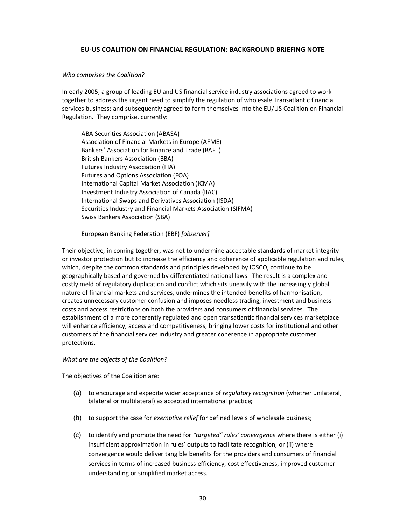### **EU-US COALITION ON FINANCIAL REGULATION: BACKGROUND BRIEFING NOTE**

### *Who comprises the Coalition?*

In early 2005, a group of leading EU and US financial service industry associations agreed to work together to address the urgent need to simplify the regulation of wholesale Transatlantic financial services business; and subsequently agreed to form themselves into the EU/US Coalition on Financial Regulation. They comprise, currently:

ABA Securities Association (ABASA) Association of Financial Markets in Europe (AFME) Bankers' Association for Finance and Trade (BAFT) British Bankers Association (BBA) Futures Industry Association (FIA) Futures and Options Association (FOA) International Capital Market Association (ICMA) Investment Industry Association of Canada (IIAC) International Swaps and Derivatives Association (ISDA) Securities Industry and Financial Markets Association (SIFMA) Swiss Bankers Association (SBA)

European Banking Federation (EBF) *[observer]*

Their objective, in coming together, was not to undermine acceptable standards of market integrity or investor protection but to increase the efficiency and coherence of applicable regulation and rules, which, despite the common standards and principles developed by IOSCO, continue to be geographically based and governed by differentiated national laws. The result is a complex and costly meld of regulatory duplication and conflict which sits uneasily with the increasingly global nature of financial markets and services, undermines the intended benefits of harmonisation, creates unnecessary customer confusion and imposes needless trading, investment and business costs and access restrictions on both the providers and consumers of financial services. The establishment of a more coherently regulated and open transatlantic financial services marketplace will enhance efficiency, access and competitiveness, bringing lower costs for institutional and other customers of the financial services industry and greater coherence in appropriate customer protections.

### *What are the objects of the Coalition?*

The objectives of the Coalition are:

- (a) to encourage and expedite wider acceptance of *regulatory recognition* (whether unilateral, bilateral or multilateral) as accepted international practice;
- (b) to support the case for *exemptive relief* for defined levels of wholesale business;
- (c) to identify and promote the need for *"targeted" rules' convergence* where there is either (i) insufficient approximation in rules' outputs to facilitate recognition; or (ii) where convergence would deliver tangible benefits for the providers and consumers of financial services in terms of increased business efficiency, cost effectiveness, improved customer understanding or simplified market access.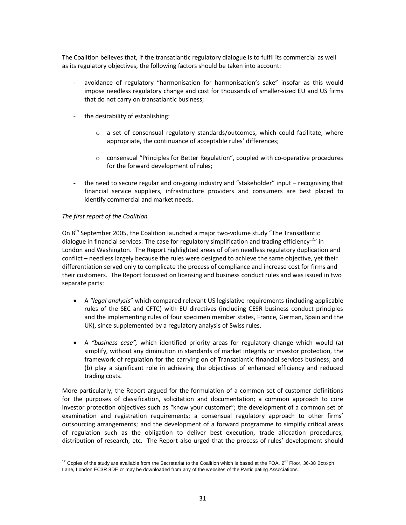The Coalition believes that, if the transatlantic regulatory dialogue is to fulfil its commercial as well as its regulatory objectives, the following factors should be taken into account:

- avoidance of regulatory "harmonisation for harmonisation's sake" insofar as this would impose needless regulatory change and cost for thousands of smaller-sized EU and US firms that do not carry on transatlantic business;
- the desirability of establishing:
	- $\circ$  a set of consensual regulatory standards/outcomes, which could facilitate, where appropriate, the continuance of acceptable rules' differences;
	- $\circ$  consensual "Principles for Better Regulation", coupled with co-operative procedures for the forward development of rules;
- the need to secure regular and on-going industry and "stakeholder" input recognising that financial service suppliers, infrastructure providers and consumers are best placed to identify commercial and market needs.

### *The first report of the Coalition*

On  $8<sup>th</sup>$  September 2005, the Coalition launched a major two-volume study "The Transatlantic dialogue in financial services: The case for regulatory simplification and trading efficiency<sup>12</sup>" in London and Washington. The Report highlighted areas of often needless regulatory duplication and conflict – needless largely because the rules were designed to achieve the same objective, yet their differentiation served only to complicate the process of compliance and increase cost for firms and their customers. The Report focussed on licensing and business conduct rules and was issued in two separate parts:

- · A "*legal analysis*" which compared relevant US legislative requirements (including applicable rules of the SEC and CFTC) with EU directives (including CESR business conduct principles and the implementing rules of four specimen member states, France, German, Spain and the UK), since supplemented by a regulatory analysis of Swiss rules.
- · A *"business case",* which identified priority areas for regulatory change which would (a) simplify, without any diminution in standards of market integrity or investor protection, the framework of regulation for the carrying on of Transatlantic financial services business; and (b) play a significant role in achieving the objectives of enhanced efficiency and reduced trading costs.

More particularly, the Report argued for the formulation of a common set of customer definitions for the purposes of classification, solicitation and documentation; a common approach to core investor protection objectives such as "know your customer"; the development of a common set of examination and registration requirements; a consensual regulatory approach to other firms' outsourcing arrangements; and the development of a forward programme to simplify critical areas of regulation such as the obligation to deliver best execution, trade allocation procedures, distribution of research, etc. The Report also urged that the process of rules' development should

 $12$  Copies of the study are available from the Secretariat to the Coalition which is based at the FOA,  $2^{nd}$  Floor, 36-38 Botolph Lane, London EC3R 8DE or may be downloaded from any of the websites of the Participating Associations.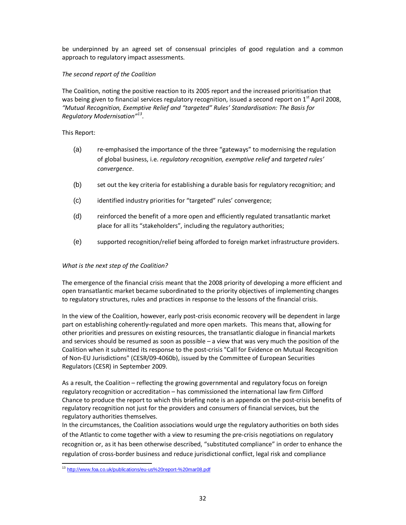be underpinned by an agreed set of consensual principles of good regulation and a common approach to regulatory impact assessments.

## *The second report of the Coalition*

The Coalition, noting the positive reaction to its 2005 report and the increased prioritisation that was being given to financial services regulatory recognition, issued a second report on 1<sup>st</sup> April 2008, *"Mutual Recognition, Exemptive Relief and "targeted" Rules' Standardisation: The Basis for Regulatory Modernisation" 13*.

This Report:

- (a) re-emphasised the importance of the three "gateways" to modernising the regulation of global business, i.e. *regulatory recognition, exemptive relief* and *targeted rules' convergence*.
- (b) set out the key criteria for establishing a durable basis for regulatory recognition; and
- (c) identified industry priorities for "targeted" rules' convergence;
- (d) reinforced the benefit of a more open and efficiently regulated transatlantic market place for all its "stakeholders", including the regulatory authorities;
- (e) supported recognition/relief being afforded to foreign market infrastructure providers.

### *What is the next step of the Coalition?*

The emergence of the financial crisis meant that the 2008 priority of developing a more efficient and open transatlantic market became subordinated to the priority objectives of implementing changes to regulatory structures, rules and practices in response to the lessons of the financial crisis.

In the view of the Coalition, however, early post-crisis economic recovery will be dependent in large part on establishing coherently-regulated and more open markets. This means that, allowing for other priorities and pressures on existing resources, the transatlantic dialogue in financial markets and services should be resumed as soon as possible – a view that was very much the position of the Coalition when it submitted its response to the post-crisis "Call for Evidence on Mutual Recognition of Non-EU Jurisdictions" (CESR/09-4060b), issued by the Committee of European Securities Regulators (CESR) in September 2009.

As a result, the Coalition – reflecting the growing governmental and regulatory focus on foreign regulatory recognition or accreditation – has commissioned the international law firm Clifford Chance to produce the report to which this briefing note is an appendix on the post-crisis benefits of regulatory recognition not just for the providers and consumers of financial services, but the regulatory authorities themselves.

In the circumstances, the Coalition associations would urge the regulatory authorities on both sides of the Atlantic to come together with a view to resuming the pre-crisis negotiations on regulatory recognition or, as it has been otherwise described, "substituted compliance" in order to enhance the regulation of cross-border business and reduce jurisdictional conflict, legal risk and compliance

<sup>13</sup> http://www.foa.co.uk/publications/eu-us%20report-%20mar08.pdf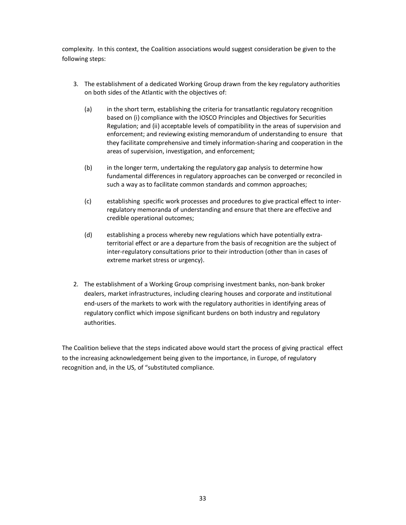complexity. In this context, the Coalition associations would suggest consideration be given to the following steps:

- 3. The establishment of a dedicated Working Group drawn from the key regulatory authorities on both sides of the Atlantic with the objectives of:
	- (a) in the short term, establishing the criteria for transatlantic regulatory recognition based on (i) compliance with the IOSCO Principles and Objectives for Securities Regulation; and (ii) acceptable levels of compatibility in the areas of supervision and enforcement; and reviewing existing memorandum of understanding to ensure that they facilitate comprehensive and timely information-sharing and cooperation in the areas of supervision, investigation, and enforcement;
	- (b) in the longer term, undertaking the regulatory gap analysis to determine how fundamental differences in regulatory approaches can be converged or reconciled in such a way as to facilitate common standards and common approaches;
	- (c) establishing specific work processes and procedures to give practical effect to interregulatory memoranda of understanding and ensure that there are effective and credible operational outcomes;
	- (d) establishing a process whereby new regulations which have potentially extraterritorial effect or are a departure from the basis of recognition are the subject of inter-regulatory consultations prior to their introduction (other than in cases of extreme market stress or urgency).
- 2. The establishment of a Working Group comprising investment banks, non-bank broker dealers, market infrastructures, including clearing houses and corporate and institutional end-users of the markets to work with the regulatory authorities in identifying areas of regulatory conflict which impose significant burdens on both industry and regulatory authorities.

The Coalition believe that the steps indicated above would start the process of giving practical effect to the increasing acknowledgement being given to the importance, in Europe, of regulatory recognition and, in the US, of "substituted compliance.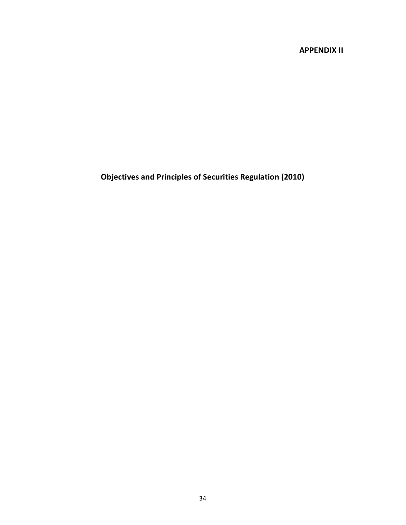# **APPENDIX II**

**Objectives and Principles of Securities Regulation (2010)**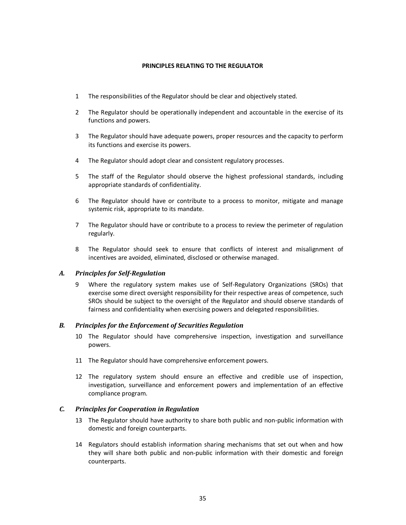### **PRINCIPLES RELATING TO THE REGULATOR**

- 1 The responsibilities of the Regulator should be clear and objectively stated.
- 2 The Regulator should be operationally independent and accountable in the exercise of its functions and powers.
- 3 The Regulator should have adequate powers, proper resources and the capacity to perform its functions and exercise its powers.
- 4 The Regulator should adopt clear and consistent regulatory processes.
- 5 The staff of the Regulator should observe the highest professional standards, including appropriate standards of confidentiality.
- 6 The Regulator should have or contribute to a process to monitor, mitigate and manage systemic risk, appropriate to its mandate.
- 7 The Regulator should have or contribute to a process to review the perimeter of regulation regularly.
- 8 The Regulator should seek to ensure that conflicts of interest and misalignment of incentives are avoided, eliminated, disclosed or otherwise managed.

### *A. Principles for Self-Regulation*

9 Where the regulatory system makes use of Self-Regulatory Organizations (SROs) that exercise some direct oversight responsibility for their respective areas of competence, such SROs should be subject to the oversight of the Regulator and should observe standards of fairness and confidentiality when exercising powers and delegated responsibilities.

### *B. Principles for the Enforcement of Securities Regulation*

- 10 The Regulator should have comprehensive inspection, investigation and surveillance powers.
- 11 The Regulator should have comprehensive enforcement powers.
- 12 The regulatory system should ensure an effective and credible use of inspection, investigation, surveillance and enforcement powers and implementation of an effective compliance program.

### *C. Principles for Cooperation in Regulation*

- 13 The Regulator should have authority to share both public and non-public information with domestic and foreign counterparts.
- 14 Regulators should establish information sharing mechanisms that set out when and how they will share both public and non-public information with their domestic and foreign counterparts.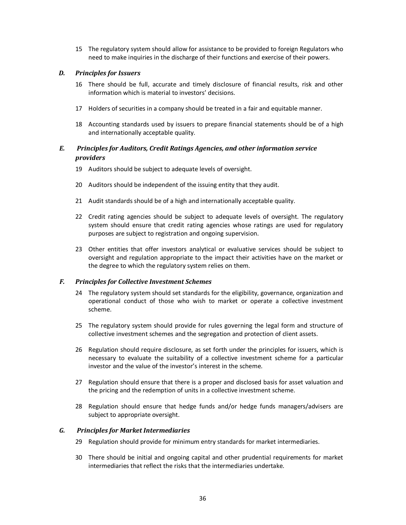15 The regulatory system should allow for assistance to be provided to foreign Regulators who need to make inquiries in the discharge of their functions and exercise of their powers.

## *D. Principles for Issuers*

- 16 There should be full, accurate and timely disclosure of financial results, risk and other information which is material to investors' decisions.
- 17 Holders of securities in a company should be treated in a fair and equitable manner.
- 18 Accounting standards used by issuers to prepare financial statements should be of a high and internationally acceptable quality.

# *E. Principles for Auditors, Credit Ratings Agencies, and other information service providers*

- 19 Auditors should be subject to adequate levels of oversight.
- 20 Auditors should be independent of the issuing entity that they audit.
- 21 Audit standards should be of a high and internationally acceptable quality.
- 22 Credit rating agencies should be subject to adequate levels of oversight. The regulatory system should ensure that credit rating agencies whose ratings are used for regulatory purposes are subject to registration and ongoing supervision.
- 23 Other entities that offer investors analytical or evaluative services should be subject to oversight and regulation appropriate to the impact their activities have on the market or the degree to which the regulatory system relies on them.

### *F. Principles for Collective Investment Schemes*

- 24 The regulatory system should set standards for the eligibility, governance, organization and operational conduct of those who wish to market or operate a collective investment scheme.
- 25 The regulatory system should provide for rules governing the legal form and structure of collective investment schemes and the segregation and protection of client assets.
- 26 Regulation should require disclosure, as set forth under the principles for issuers, which is necessary to evaluate the suitability of a collective investment scheme for a particular investor and the value of the investor's interest in the scheme.
- 27 Regulation should ensure that there is a proper and disclosed basis for asset valuation and the pricing and the redemption of units in a collective investment scheme.
- 28 Regulation should ensure that hedge funds and/or hedge funds managers/advisers are subject to appropriate oversight.

# *G. Principles for Market Intermediaries*

- 29 Regulation should provide for minimum entry standards for market intermediaries.
- 30 There should be initial and ongoing capital and other prudential requirements for market intermediaries that reflect the risks that the intermediaries undertake.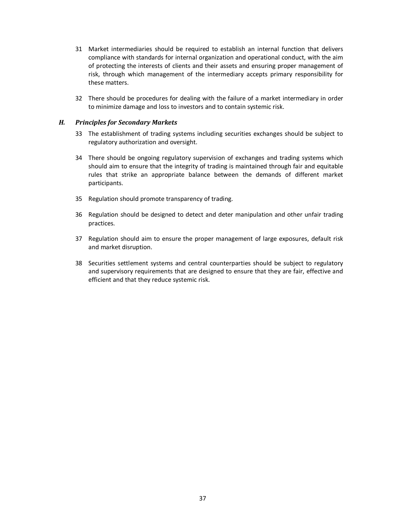- 31 Market intermediaries should be required to establish an internal function that delivers compliance with standards for internal organization and operational conduct, with the aim of protecting the interests of clients and their assets and ensuring proper management of risk, through which management of the intermediary accepts primary responsibility for these matters.
- 32 There should be procedures for dealing with the failure of a market intermediary in order to minimize damage and loss to investors and to contain systemic risk.

### *H. Principles for Secondary Markets*

- 33 The establishment of trading systems including securities exchanges should be subject to regulatory authorization and oversight.
- 34 There should be ongoing regulatory supervision of exchanges and trading systems which should aim to ensure that the integrity of trading is maintained through fair and equitable rules that strike an appropriate balance between the demands of different market participants.
- 35 Regulation should promote transparency of trading.
- 36 Regulation should be designed to detect and deter manipulation and other unfair trading practices.
- 37 Regulation should aim to ensure the proper management of large exposures, default risk and market disruption.
- 38 Securities settlement systems and central counterparties should be subject to regulatory and supervisory requirements that are designed to ensure that they are fair, effective and efficient and that they reduce systemic risk.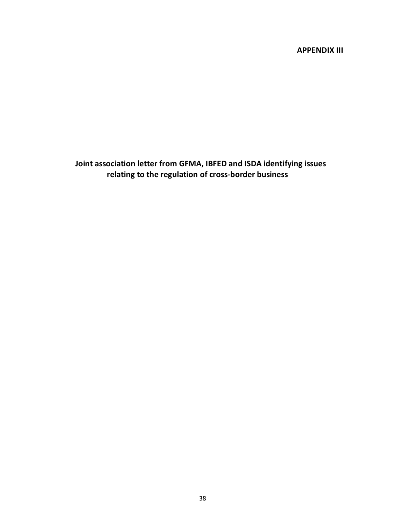# **APPENDIX III**

**Joint association letter from GFMA, IBFED and ISDA identifying issues relating to the regulation of cross-border business**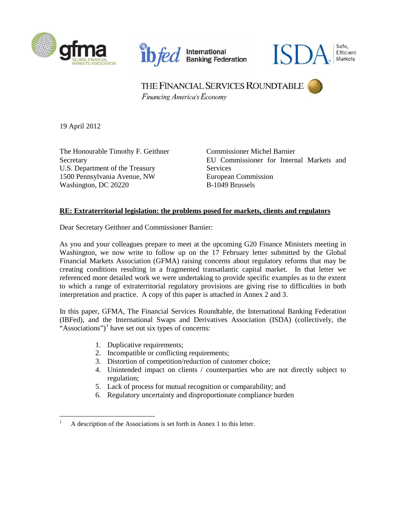





THE FINANCIAL SERVICES ROUNDTABLE Financing America's Economy

19 April 2012

The Honourable Timothy F. Geithner Secretary U.S. Department of the Treasury 1500 Pennsylvania Avenue, NW Washington, DC 20220

Commissioner Michel Barnier EU Commissioner for Internal Markets and Services European Commission B-1049 Brussels

# **RE: Extraterritorial legislation: the problems posed for markets, clients and regulators**

Dear Secretary Geithner and Commissioner Barnier:

As you and your colleagues prepare to meet at the upcoming G20 Finance Ministers meeting in Washington, we now write to follow up on the 17 February letter submitted by the Global Financial Markets Association (GFMA) raising concerns about regulatory reforms that may be creating conditions resulting in a fragmented transatlantic capital market. In that letter we referenced more detailed work we were undertaking to provide specific examples as to the extent to which a range of extraterritorial regulatory provisions are giving rise to difficulties in both interpretation and practice. A copy of this paper is attached in Annex 2 and 3.

In this paper, GFMA, The Financial Services Roundtable, the International Banking Federation (IBFed), and the International Swaps and Derivatives Association (ISDA) (collectively, the "Associations") $<sup>1</sup>$  $<sup>1</sup>$  $<sup>1</sup>$  have set out six types of concerns:</sup>

- 1. Duplicative requirements;
- 2. Incompatible or conflicting requirements;
- 3. Distortion of competition/reduction of customer choice;
- 4. Unintended impact on clients / counterparties who are not directly subject to regulation;
- 5. Lack of process for mutual recognition or comparability; and
- 6. Regulatory uncertainty and disproportionate compliance burden

<span id="page-39-0"></span><sup>1</sup> A description of the Associations is set forth in Annex 1 to this letter.  $\overline{1}$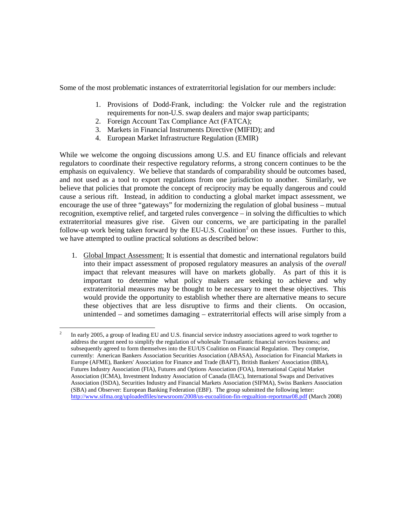Some of the most problematic instances of extraterritorial legislation for our members include:

- 1. Provisions of Dodd-Frank, including: the Volcker rule and the registration requirements for non-U.S. swap dealers and major swap participants;
- 2. Foreign Account Tax Compliance Act (FATCA);
- 3. Markets in Financial Instruments Directive (MIFID); and
- 4. European Market Infrastructure Regulation (EMIR)

While we welcome the ongoing discussions among U.S. and EU finance officials and relevant regulators to coordinate their respective regulatory reforms, a strong concern continues to be the emphasis on equivalency. We believe that standards of comparability should be outcomes based, and not used as a tool to export regulations from one jurisdiction to another. Similarly, we believe that policies that promote the concept of reciprocity may be equally dangerous and could cause a serious rift. Instead, in addition to conducting a global market impact assessment, we encourage the use of three "gateways" for modernizing the regulation of global business – mutual recognition, exemptive relief, and targeted rules convergence – in solving the difficulties to which extraterritorial measures give rise. Given our concerns, we are participating in the parallel follow-up work being taken forward by the EU-U.S. Coalition<sup>[2](#page-40-0)</sup> on these issues. Further to this, we have attempted to outline practical solutions as described below:

1. Global Impact Assessment: It is essential that domestic and international regulators build into their impact assessment of proposed regulatory measures an analysis of the *overall* impact that relevant measures will have on markets globally. As part of this it is important to determine what policy makers are seeking to achieve and why extraterritorial measures may be thought to be necessary to meet these objectives. This would provide the opportunity to establish whether there are alternative means to secure these objectives that are less disruptive to firms and their clients. On occasion, unintended – and sometimes damaging – extraterritorial effects will arise simply from a

<span id="page-40-0"></span><sup>2</sup> In early 2005, a group of leading EU and U.S. financial service industry associations agreed to work together to address the urgent need to simplify the regulation of wholesale Transatlantic financial services business; and subsequently agreed to form themselves into the EU/US Coalition on Financial Regulation. They comprise, currently: American Bankers Association Securities Association (ABASA), Association for Financial Markets in Europe (AFME), Bankers' Association for Finance and Trade (BAFT), British Bankers' Association (BBA), Futures Industry Association (FIA), Futures and Options Association (FOA), International Capital Market Association (ICMA), Investment Industry Association of Canada (IIAC), International Swaps and Derivatives Association (ISDA), Securities Industry and Financial Markets Association (SIFMA), Swiss Bankers Association (SBA) and Observer: European Banking Federation (EBF). The group submitted the following letter: <http://www.sifma.org/uploadedfiles/newsroom/2008/us-eucoalition-fin-regualtion-reportmar08.pdf> (March 2008)  $\overline{1}$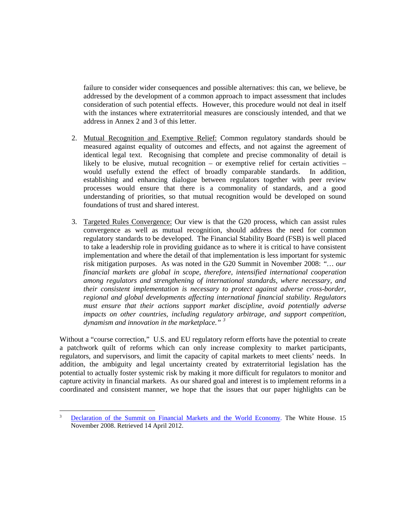failure to consider wider consequences and possible alternatives: this can, we believe, be addressed by the development of a common approach to impact assessment that includes consideration of such potential effects. However, this procedure would not deal in itself with the instances where extraterritorial measures are consciously intended, and that we address in Annex 2 and 3 of this letter.

- 2. Mutual Recognition and Exemptive Relief: Common regulatory standards should be measured against equality of outcomes and effects, and not against the agreement of identical legal text. Recognising that complete and precise commonality of detail is likely to be elusive, mutual recognition – or exemptive relief for certain activities – would usefully extend the effect of broadly comparable standards. In addition, establishing and enhancing dialogue between regulators together with peer review processes would ensure that there is a commonality of standards, and a good understanding of priorities, so that mutual recognition would be developed on sound foundations of trust and shared interest.
- 3. Targeted Rules Convergence: Our view is that the G20 process, which can assist rules convergence as well as mutual recognition, should address the need for common regulatory standards to be developed. The Financial Stability Board (FSB) is well placed to take a leadership role in providing guidance as to where it is critical to have consistent implementation and where the detail of that implementation is less important for systemic risk mitigation purposes. As was noted in the G20 Summit in November 2008: *"… our financial markets are global in scope, therefore, intensified international cooperation among regulators and strengthening of international standards, where necessary, and their consistent implementation is necessary to protect against adverse cross-border, regional and global developments affecting international financial stability. Regulators must ensure that their actions support market discipline, avoid potentially adverse impacts on other countries, including regulatory arbitrage, and support competition, dynamism and innovation in the marketplace." [3](#page-41-0)*

Without a "course correction," U.S. and EU regulatory reform efforts have the potential to create a patchwork quilt of reforms which can only increase complexity to market participants, regulators, and supervisors, and limit the capacity of capital markets to meet clients' needs. In addition, the ambiguity and legal uncertainty created by extraterritorial legislation has the potential to actually foster systemic risk by making it more difficult for regulators to monitor and capture activity in financial markets. As our shared goal and interest is to implement reforms in a coordinated and consistent manner, we hope that the issues that our paper highlights can be

<span id="page-41-0"></span><sup>3</sup> [Declaration of the Summit on Financial Markets and the World Economy.](http://georgewbush-whitehouse.archives.gov/news/releases/2008/11/20081115-1.html) The White House. 15 November 2008. Retrieved 14 April 2012.  $\overline{\phantom{a}}$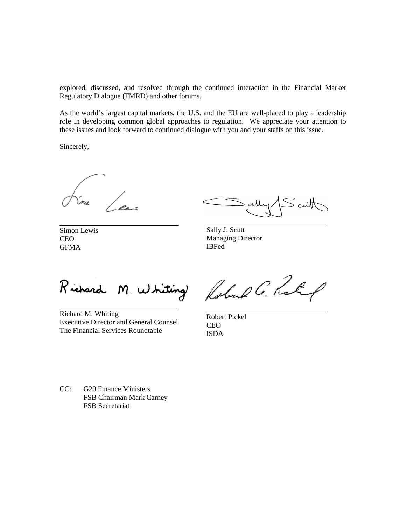explored, discussed, and resolved through the continued interaction in the Financial Market Regulatory Dialogue (FMRD) and other forums.

As the world's largest capital markets, the U.S. and the EU are well-placed to play a leadership role in developing common global approaches to regulation. We appreciate your attention to these issues and look forward to continued dialogue with you and your staffs on this issue.

Sincerely,

Simon Lewis CEO GFMA

 $\overline{a}$ 

Sally J. Scutt Managing Director IBFed

Richard M. Whiting

Robert G. Rak

Richard M. Whiting Executive Director and General Counsel The Financial Services Roundtable

Robert Pickel CEO ISDA

 $\overline{a}$ 

CC: G20 Finance Ministers FSB Chairman Mark Carney FSB Secretariat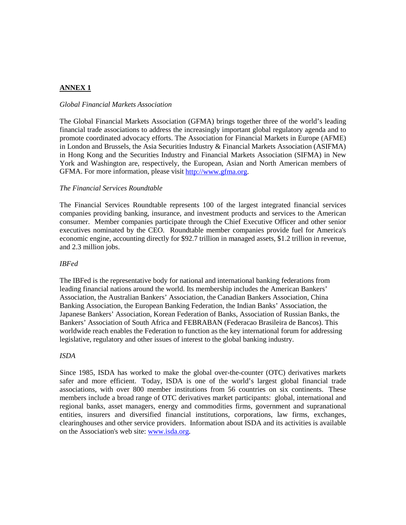# **ANNEX 1**

### *Global Financial Markets Association*

The Global Financial Markets Association (GFMA) brings together three of the world's leading financial trade associations to address the increasingly important global regulatory agenda and to promote coordinated advocacy efforts. The Association for Financial Markets in Europe (AFME) in London and Brussels, the Asia Securities Industry & Financial Markets Association (ASIFMA) in Hong Kong and the Securities Industry and Financial Markets Association (SIFMA) in New York and Washington are, respectively, the European, Asian and North American members of GFMA. For more information, please visit [http://www.gfma.org.](http://www.gfma.org/)

### *The Financial Services Roundtable*

The Financial Services Roundtable represents 100 of the largest integrated financial services companies providing banking, insurance, and investment products and services to the American consumer. Member companies participate through the Chief Executive Officer and other senior executives nominated by the CEO. Roundtable member companies provide fuel for America's economic engine, accounting directly for \$92.7 trillion in managed assets, \$1.2 trillion in revenue, and 2.3 million jobs.

### *IBFed*

The IBFed is the representative body for national and international banking federations from leading financial nations around the world. Its membership includes the American Bankers' Association, the Australian Bankers' Association, the Canadian Bankers Association, China Banking Association, the European Banking Federation, the Indian Banks' Association, the Japanese Bankers' Association, Korean Federation of Banks, Association of Russian Banks, the Bankers' Association of South Africa and FEBRABAN (Federacao Brasileira de Bancos). This worldwide reach enables the Federation to function as the key international forum for addressing legislative, regulatory and other issues of interest to the global banking industry.

### *ISDA*

Since 1985, ISDA has worked to make the global over-the-counter (OTC) derivatives markets safer and more efficient. Today, ISDA is one of the world's largest global financial trade associations, with over 800 member institutions from 56 countries on six continents. These members include a broad range of OTC derivatives market participants: global, international and regional banks, asset managers, energy and commodities firms, government and supranational entities, insurers and diversified financial institutions, corporations, law firms, exchanges, clearinghouses and other service providers. Information about ISDA and its activities is available on the Association's web site: [www.isda.org.](http://www.isda.org/)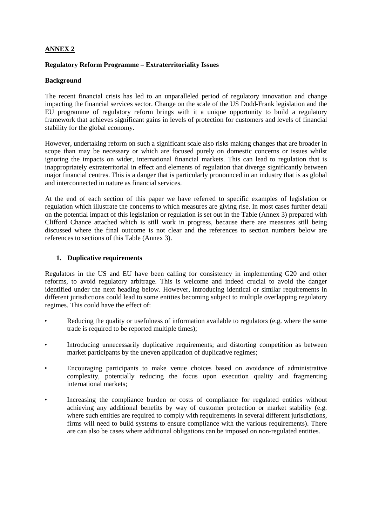# **ANNEX 2**

# **Regulatory Reform Programme – Extraterritoriality Issues**

# **Background**

The recent financial crisis has led to an unparalleled period of regulatory innovation and change impacting the financial services sector. Change on the scale of the US Dodd-Frank legislation and the EU programme of regulatory reform brings with it a unique opportunity to build a regulatory framework that achieves significant gains in levels of protection for customers and levels of financial stability for the global economy.

However, undertaking reform on such a significant scale also risks making changes that are broader in scope than may be necessary or which are focused purely on domestic concerns or issues whilst ignoring the impacts on wider, international financial markets. This can lead to regulation that is inappropriately extraterritorial in effect and elements of regulation that diverge significantly between major financial centres. This is a danger that is particularly pronounced in an industry that is as global and interconnected in nature as financial services.

At the end of each section of this paper we have referred to specific examples of legislation or regulation which illustrate the concerns to which measures are giving rise. In most cases further detail on the potential impact of this legislation or regulation is set out in the Table (Annex 3) prepared with Clifford Chance attached which is still work in progress, because there are measures still being discussed where the final outcome is not clear and the references to section numbers below are references to sections of this Table (Annex 3).

# **1. Duplicative requirements**

Regulators in the US and EU have been calling for consistency in implementing G20 and other reforms, to avoid regulatory arbitrage. This is welcome and indeed crucial to avoid the danger identified under the next heading below. However, introducing identical or similar requirements in different jurisdictions could lead to some entities becoming subject to multiple overlapping regulatory regimes. This could have the effect of:

- Reducing the quality or usefulness of information available to regulators (e.g. where the same trade is required to be reported multiple times);
- Introducing unnecessarily duplicative requirements; and distorting competition as between market participants by the uneven application of duplicative regimes;
- Encouraging participants to make venue choices based on avoidance of administrative complexity, potentially reducing the focus upon execution quality and fragmenting international markets;
- Increasing the compliance burden or costs of compliance for regulated entities without achieving any additional benefits by way of customer protection or market stability (e.g. where such entities are required to comply with requirements in several different jurisdictions, firms will need to build systems to ensure compliance with the various requirements). There are can also be cases where additional obligations can be imposed on non-regulated entities.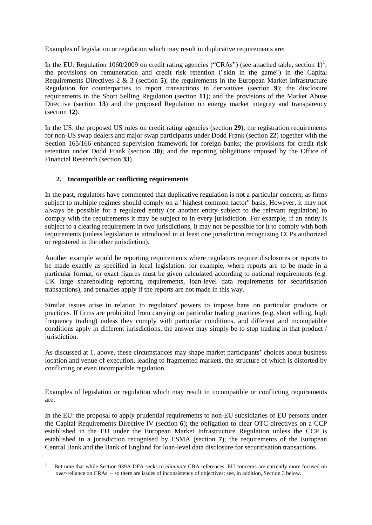# Examples of legislation or regulation which may result in duplicative requirements are:

In the EU: Regulation [1](#page-45-0)060/2009 on credit rating agencies ("CRAs") (see attached table, section  $1$ )<sup>1</sup>; the provisions on remuneration and credit risk retention ("skin in the game") in the Capital Requirements Directives 2 & 3 (section **5**); the requirements in the European Market Infrastructure Regulation for counterparties to report transactions in derivatives (section **9**); the disclosure requirements in the Short Selling Regulation (section **11**); and the provisions of the Market Abuse Directive (section **13**) and the proposed Regulation on energy market integrity and transparency (section **12**).

In the US: the proposed US rules on credit rating agencies (section **29**); the registration requirements for non-US swap dealers and major swap participants under Dodd Frank (section **22**) together with the Section 165/166 enhanced supervision framework for foreign banks; the provisions for credit risk retention under Dodd Frank (section **30**); and the reporting obligations imposed by the Office of Financial Research (section **33**).

# **2. Incompatible or conflicting requirements**

In the past, regulators have commented that duplicative regulation is not a particular concern, as firms subject to multiple regimes should comply on a "highest common factor" basis. However, it may not always be possible for a regulated entity (or another entity subject to the relevant regulation) to comply with the requirements it may be subject to in every jurisdiction. For example, if an entity is subject to a clearing requirement in two jurisdictions, it may not be possible for it to comply with both requirements (unless legislation is introduced in at least one jurisdiction recognizing CCPs authorized or registered in the other jurisdiction).

Another example would be reporting requirements where regulators require disclosures or reports to be made exactly as specified in local legislation: for example, where reports are to be made in a particular format, or exact figures must be given calculated according to national requirements (e.g. UK large shareholding reporting requirements, loan-level data requirements for securitisation transactions), and penalties apply if the reports are not made in this way.

Similar issues arise in relation to regulators' powers to impose bans on particular products or practices. If firms are prohibited from carrying on particular trading practices (e.g. short selling, high frequency trading) unless they comply with particular conditions, and different and incompatible conditions apply in different jurisdictions, the answer may simply be to stop trading in that product / jurisdiction.

As discussed at 1. above, these circumstances may shape market participants' choices about business location and venue of execution, leading to fragmented markets, the structure of which is distorted by conflicting or even incompatible regulation.

# Examples of legislation or regulation which may result in incompatible or conflicting requirements are:

In the EU: the proposal to apply prudential requirements to non-EU subsidiaries of EU persons under the Capital Requirements Directive IV (section **6**); the obligation to clear OTC directives on a CCP established in the EU under the European Market Infrastructure Regulation unless the CCP is established in a jurisdiction recognised by ESMA (section **7**); the requirements of the European Central Bank and the Bank of England for loan-level data disclosure for securitisation transactions.

<span id="page-45-0"></span><sup>1</sup> But note that while Section 939A DFA seeks to *eliminate* CRA references, EU concerns are currently more focused on *over*-reliance on CRAs – so there are issues of inconsistency of objectives; see, in addition, Section 3 below.  $\frac{1}{1}$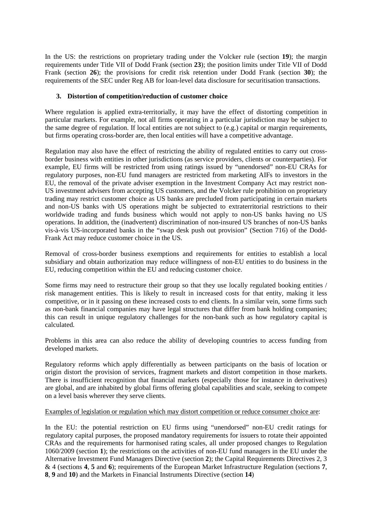In the US: the restrictions on proprietary trading under the Volcker rule (section **19**); the margin requirements under Title VII of Dodd Frank (section **23**); the position limits under Title VII of Dodd Frank (section **26**); the provisions for credit risk retention under Dodd Frank (section **30**); the requirements of the SEC under Reg AB for loan-level data disclosure for securitisation transactions.

# **3. Distortion of competition/reduction of customer choice**

Where regulation is applied extra-territorially, it may have the effect of distorting competition in particular markets. For example, not all firms operating in a particular jurisdiction may be subject to the same degree of regulation. If local entities are not subject to (e.g.) capital or margin requirements, but firms operating cross-border are, then local entities will have a competitive advantage.

Regulation may also have the effect of restricting the ability of regulated entities to carry out crossborder business with entities in other jurisdictions (as service providers, clients or counterparties). For example, EU firms will be restricted from using ratings issued by "unendorsed" non-EU CRAs for regulatory purposes, non-EU fund managers are restricted from marketing AIFs to investors in the EU, the removal of the private adviser exemption in the Investment Company Act may restrict non-US investment advisers from accepting US customers, and the Volcker rule prohibition on proprietary trading may restrict customer choice as US banks are precluded from participating in certain markets and non-US banks with US operations might be subjected to extraterritorial restrictions to their worldwide trading and funds business which would not apply to non-US banks having no US operations. In addition, the (inadvertent) discrimination of non-insured US branches of non-US banks vis-à-vis US-incorporated banks in the "swap desk push out provision" (Section 716) of the Dodd-Frank Act may reduce customer choice in the US.

Removal of cross-border business exemptions and requirements for entities to establish a local subsidiary and obtain authorization may reduce willingness of non-EU entities to do business in the EU, reducing competition within the EU and reducing customer choice.

Some firms may need to restructure their group so that they use locally regulated booking entities / risk management entities. This is likely to result in increased costs for that entity, making it less competitive, or in it passing on these increased costs to end clients. In a similar vein, some firms such as non-bank financial companies may have legal structures that differ from bank holding companies; this can result in unique regulatory challenges for the non-bank such as how regulatory capital is calculated.

Problems in this area can also reduce the ability of developing countries to access funding from developed markets.

Regulatory reforms which apply differentially as between participants on the basis of location or origin distort the provision of services, fragment markets and distort competition in those markets. There is insufficient recognition that financial markets (especially those for instance in derivatives) are global, and are inhabited by global firms offering global capabilities and scale, seeking to compete on a level basis wherever they serve clients.

# Examples of legislation or regulation which may distort competition or reduce consumer choice are:

In the EU: the potential restriction on EU firms using "unendorsed" non-EU credit ratings for regulatory capital purposes, the proposed mandatory requirements for issuers to rotate their appointed CRAs and the requirements for harmonised rating scales, all under proposed changes to Regulation 1060/2009 (section **1**); the restrictions on the activities of non-EU fund managers in the EU under the Alternative Investment Fund Managers Directive (section **2**); the Capital Requirements Directives 2, 3 & 4 (sections **4**, **5** and **6**); requirements of the European Market Infrastructure Regulation (sections **7**, **8**, **9** and **10**) and the Markets in Financial Instruments Directive (section **14**)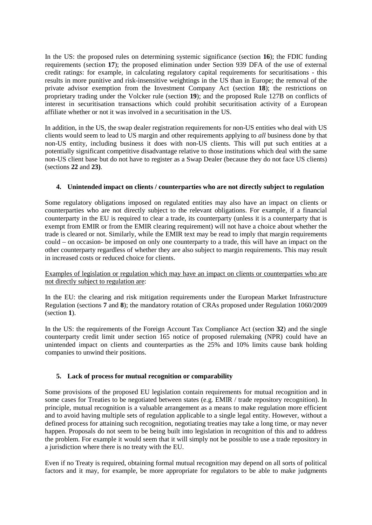In the US: the proposed rules on determining systemic significance (section **16**); the FDIC funding requirements (section **17**); the proposed elimination under Section 939 DFA of the use of external credit ratings: for example, in calculating regulatory capital requirements for securitisations - this results in more punitive and risk-insensitive weightings in the US than in Europe; the removal of the private advisor exemption from the Investment Company Act (section **18**); the restrictions on proprietary trading under the Volcker rule (section **19**); and the proposed Rule 127B on conflicts of interest in securitisation transactions which could prohibit securitisation activity of a European affiliate whether or not it was involved in a securitisation in the US.

In addition, in the US, the swap dealer registration requirements for non-US entities who deal with US clients would seem to lead to US margin and other requirements applying to *all* business done by that non-US entity, including business it does with non-US clients. This will put such entities at a potentially significant competitive disadvantage relative to those institutions which deal with the same non-US client base but do not have to register as a Swap Dealer (because they do not face US clients) (sections **22** and **23)**.

# **4. Unintended impact on clients / counterparties who are not directly subject to regulation**

Some regulatory obligations imposed on regulated entities may also have an impact on clients or counterparties who are not directly subject to the relevant obligations. For example, if a financial counterparty in the EU is required to clear a trade, its counterparty (unless it is a counterparty that is exempt from EMIR or from the EMIR clearing requirement) will not have a choice about whether the trade is cleared or not. Similarly, while the EMIR text may be read to imply that margin requirements could – on occasion- be imposed on only one counterparty to a trade, this will have an impact on the other counterparty regardless of whether they are also subject to margin requirements. This may result in increased costs or reduced choice for clients.

# Examples of legislation or regulation which may have an impact on clients or counterparties who are not directly subject to regulation are:

In the EU: the clearing and risk mitigation requirements under the European Market Infrastructure Regulation (sections **7** and **8**); the mandatory rotation of CRAs proposed under Regulation 1060/2009 (section **1**).

In the US: the requirements of the Foreign Account Tax Compliance Act (section **32**) and the single counterparty credit limit under section 165 notice of proposed rulemaking (NPR) could have an unintended impact on clients and counterparties as the 25% and 10% limits cause bank holding companies to unwind their positions.

# **5. Lack of process for mutual recognition or comparability**

Some provisions of the proposed EU legislation contain requirements for mutual recognition and in some cases for Treaties to be negotiated between states (e.g. EMIR / trade repository recognition). In principle, mutual recognition is a valuable arrangement as a means to make regulation more efficient and to avoid having multiple sets of regulation applicable to a single legal entity. However, without a defined process for attaining such recognition, negotiating treaties may take a long time, or may never happen. Proposals do not seem to be being built into legislation in recognition of this and to address the problem. For example it would seem that it will simply not be possible to use a trade repository in a jurisdiction where there is no treaty with the EU.

Even if no Treaty is required, obtaining formal mutual recognition may depend on all sorts of political factors and it may, for example, be more appropriate for regulators to be able to make judgments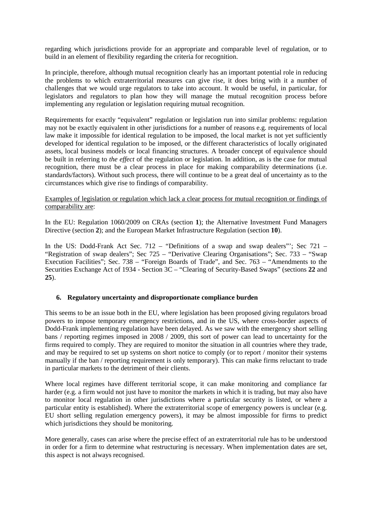regarding which jurisdictions provide for an appropriate and comparable level of regulation, or to build in an element of flexibility regarding the criteria for recognition.

In principle, therefore, although mutual recognition clearly has an important potential role in reducing the problems to which extraterritorial measures can give rise, it does bring with it a number of challenges that we would urge regulators to take into account. It would be useful, in particular, for legislators and regulators to plan how they will manage the mutual recognition process before implementing any regulation or legislation requiring mutual recognition.

Requirements for exactly "equivalent" regulation or legislation run into similar problems: regulation may not be exactly equivalent in other jurisdictions for a number of reasons e.g. requirements of local law make it impossible for identical regulation to be imposed, the local market is not yet sufficiently developed for identical regulation to be imposed, or the different characteristics of locally originated assets, local business models or local financing structures. A broader concept of equivalence should be built in referring to *the effect* of the regulation or legislation. In addition, as is the case for mutual recognition, there must be a clear process in place for making comparability determinations (i.e. standards/factors). Without such process, there will continue to be a great deal of uncertainty as to the circumstances which give rise to findings of comparability.

# Examples of legislation or regulation which lack a clear process for mutual recognition or findings of comparability are:

In the EU: Regulation 1060/2009 on CRAs (section **1**); the Alternative Investment Fund Managers Directive (section **2**); and the European Market Infrastructure Regulation (section **10**).

In the US: Dodd-Frank Act Sec. 712 – "Definitions of a swap and swap dealers"'; Sec 721 – "Registration of swap dealers"; Sec 725 – "Derivative Clearing Organisations"; Sec. 733 – "Swap Execution Facilities"; Sec. 738 – "Foreign Boards of Trade", and Sec. 763 – "Amendments to the Securities Exchange Act of 1934 - Section 3C – "Clearing of Security-Based Swaps" (sections **22** and **25**).

# **6. Regulatory uncertainty and disproportionate compliance burden**

This seems to be an issue both in the EU, where legislation has been proposed giving regulators broad powers to impose temporary emergency restrictions, and in the US, where cross-border aspects of Dodd-Frank implementing regulation have been delayed. As we saw with the emergency short selling bans / reporting regimes imposed in 2008 / 2009, this sort of power can lead to uncertainty for the firms required to comply. They are required to monitor the situation in all countries where they trade, and may be required to set up systems on short notice to comply (or to report / monitor their systems manually if the ban / reporting requirement is only temporary). This can make firms reluctant to trade in particular markets to the detriment of their clients.

Where local regimes have different territorial scope, it can make monitoring and compliance far harder (e.g. a firm would not just have to monitor the markets in which it is trading, but may also have to monitor local regulation in other jurisdictions where a particular security is listed, or where a particular entity is established). Where the extraterritorial scope of emergency powers is unclear (e.g. EU short selling regulation emergency powers), it may be almost impossible for firms to predict which jurisdictions they should be monitoring.

More generally, cases can arise where the precise effect of an extraterritorial rule has to be understood in order for a firm to determine what restructuring is necessary. When implementation dates are set, this aspect is not always recognised.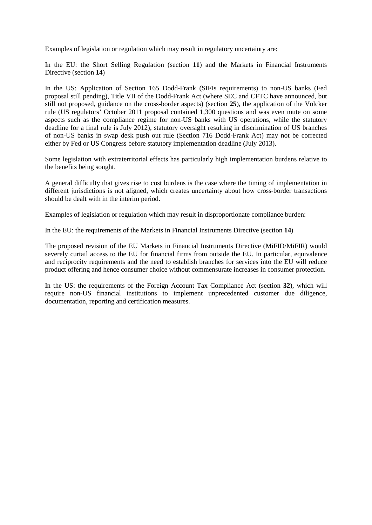Examples of legislation or regulation which may result in regulatory uncertainty are:

In the EU: the Short Selling Regulation (section **11**) and the Markets in Financial Instruments Directive (section **14**)

In the US: Application of Section 165 Dodd-Frank (SIFIs requirements) to non-US banks (Fed proposal still pending), Title VII of the Dodd-Frank Act (where SEC and CFTC have announced, but still not proposed, guidance on the cross-border aspects) (section **25**), the application of the Volcker rule (US regulators' October 2011 proposal contained 1,300 questions and was even mute on some aspects such as the compliance regime for non-US banks with US operations, while the statutory deadline for a final rule is July 2012), statutory oversight resulting in discrimination of US branches of non-US banks in swap desk push out rule (Section 716 Dodd-Frank Act) may not be corrected either by Fed or US Congress before statutory implementation deadline (July 2013).

Some legislation with extraterritorial effects has particularly high implementation burdens relative to the benefits being sought.

A general difficulty that gives rise to cost burdens is the case where the timing of implementation in different jurisdictions is not aligned, which creates uncertainty about how cross-border transactions should be dealt with in the interim period.

### Examples of legislation or regulation which may result in disproportionate compliance burden:

In the EU: the requirements of the Markets in Financial Instruments Directive (section **14**)

The proposed revision of the EU Markets in Financial Instruments Directive (MiFID/MiFIR) would severely curtail access to the EU for financial firms from outside the EU. In particular, equivalence and reciprocity requirements and the need to establish branches for services into the EU will reduce product offering and hence consumer choice without commensurate increases in consumer protection.

In the US: the requirements of the Foreign Account Tax Compliance Act (section **32**), which will require non-US financial institutions to implement unprecedented customer due diligence, documentation, reporting and certification measures.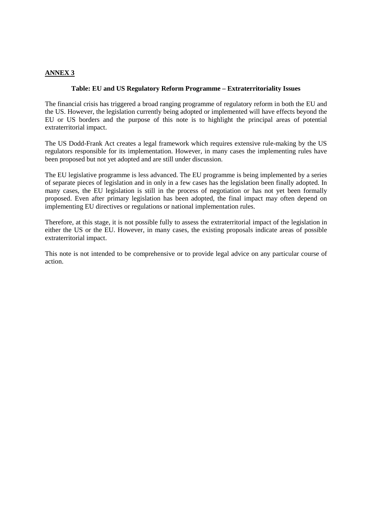# **ANNEX 3**

## **Table: EU and US Regulatory Reform Programme – Extraterritoriality Issues**

The financial crisis has triggered a broad ranging programme of regulatory reform in both the EU and the US. However, the legislation currently being adopted or implemented will have effects beyond the EU or US borders and the purpose of this note is to highlight the principal areas of potential extraterritorial impact.

The US Dodd-Frank Act creates a legal framework which requires extensive rule-making by the US regulators responsible for its implementation. However, in many cases the implementing rules have been proposed but not yet adopted and are still under discussion.

The EU legislative programme is less advanced. The EU programme is being implemented by a series of separate pieces of legislation and in only in a few cases has the legislation been finally adopted. In many cases, the EU legislation is still in the process of negotiation or has not yet been formally proposed. Even after primary legislation has been adopted, the final impact may often depend on implementing EU directives or regulations or national implementation rules.

Therefore, at this stage, it is not possible fully to assess the extraterritorial impact of the legislation in either the US or the EU. However, in many cases, the existing proposals indicate areas of possible extraterritorial impact.

This note is not intended to be comprehensive or to provide legal advice on any particular course of action.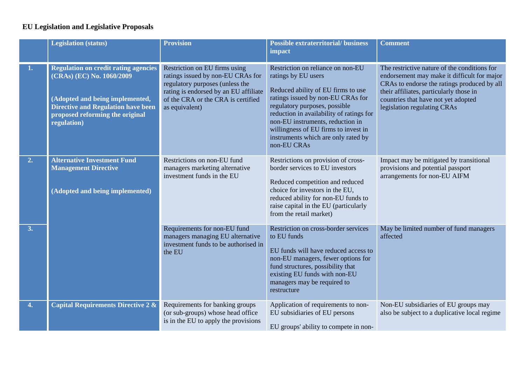# **EU Legislation and Legislative Proposals**

|                  | <b>Legislation (status)</b>                                                                                                                                                                                | <b>Provision</b>                                                                                                                                                                                       | <b>Possible extraterritorial/ business</b><br>impact                                                                                                                                                                                                                                                                                               | <b>Comment</b>                                                                                                                                                                                                                                              |
|------------------|------------------------------------------------------------------------------------------------------------------------------------------------------------------------------------------------------------|--------------------------------------------------------------------------------------------------------------------------------------------------------------------------------------------------------|----------------------------------------------------------------------------------------------------------------------------------------------------------------------------------------------------------------------------------------------------------------------------------------------------------------------------------------------------|-------------------------------------------------------------------------------------------------------------------------------------------------------------------------------------------------------------------------------------------------------------|
| 1.               | <b>Regulation on credit rating agencies</b><br>(CRAs) (EC) No. 1060/2009<br>(Adopted and being implemented,<br><b>Directive and Regulation have been</b><br>proposed reforming the original<br>regulation) | Restriction on EU firms using<br>ratings issued by non-EU CRAs for<br>regulatory purposes (unless the<br>rating is endorsed by an EU affiliate<br>of the CRA or the CRA is certified<br>as equivalent) | Restriction on reliance on non-EU<br>ratings by EU users<br>Reduced ability of EU firms to use<br>ratings issued by non-EU CRAs for<br>regulatory purposes, possible<br>reduction in availability of ratings for<br>non-EU instruments, reduction in<br>willingness of EU firms to invest in<br>instruments which are only rated by<br>non-EU CRAs | The restrictive nature of the conditions for<br>endorsement may make it difficult for major<br>CRAs to endorse the ratings produced by all<br>their affiliates, particularly those in<br>countries that have not yet adopted<br>legislation regulating CRAs |
| 2.               | <b>Alternative Investment Fund</b><br><b>Management Directive</b><br>(Adopted and being implemented)                                                                                                       | Restrictions on non-EU fund<br>managers marketing alternative<br>investment funds in the EU                                                                                                            | Restrictions on provision of cross-<br>border services to EU investors<br>Reduced competition and reduced<br>choice for investors in the EU,<br>reduced ability for non-EU funds to<br>raise capital in the EU (particularly<br>from the retail market)                                                                                            | Impact may be mitigated by transitional<br>provisions and potential passport<br>arrangements for non-EU AIFM                                                                                                                                                |
| 3.               |                                                                                                                                                                                                            | Requirements for non-EU fund<br>managers managing EU alternative<br>investment funds to be authorised in<br>the EU                                                                                     | Restriction on cross-border services<br>to EU funds<br>EU funds will have reduced access to<br>non-EU managers, fewer options for<br>fund structures, possibility that<br>existing EU funds with non-EU<br>managers may be required to<br>restructure                                                                                              | May be limited number of fund managers<br>affected                                                                                                                                                                                                          |
| $\overline{4}$ . | <b>Capital Requirements Directive 2 &amp;</b>                                                                                                                                                              | Requirements for banking groups<br>(or sub-groups) whose head office<br>is in the EU to apply the provisions                                                                                           | Application of requirements to non-<br>EU subsidiaries of EU persons<br>EU groups' ability to compete in non-                                                                                                                                                                                                                                      | Non-EU subsidiaries of EU groups may<br>also be subject to a duplicative local regime                                                                                                                                                                       |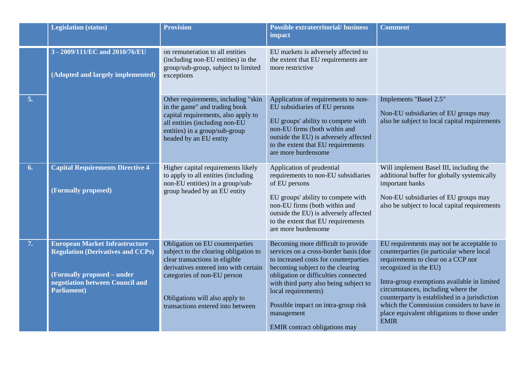|    | <b>Legislation</b> (status)                                                                                                                                               | <b>Provision</b>                                                                                                                                                                                                                                          | <b>Possible extraterritorial/business</b><br>impact                                                                                                                                                                                                                                                                                                            | <b>Comment</b>                                                                                                                                                                                                                                                                                                                                                                                        |
|----|---------------------------------------------------------------------------------------------------------------------------------------------------------------------------|-----------------------------------------------------------------------------------------------------------------------------------------------------------------------------------------------------------------------------------------------------------|----------------------------------------------------------------------------------------------------------------------------------------------------------------------------------------------------------------------------------------------------------------------------------------------------------------------------------------------------------------|-------------------------------------------------------------------------------------------------------------------------------------------------------------------------------------------------------------------------------------------------------------------------------------------------------------------------------------------------------------------------------------------------------|
|    | 3 - 2009/111/EC and 2010/76/EU<br>(Adopted and largely implemented)                                                                                                       | on remuneration to all entities<br>(including non-EU entities) in the<br>group/sub-group, subject to limited<br>exceptions                                                                                                                                | EU markets is adversely affected to<br>the extent that EU requirements are<br>more restrictive                                                                                                                                                                                                                                                                 |                                                                                                                                                                                                                                                                                                                                                                                                       |
| 5. |                                                                                                                                                                           | Other requirements, including "skin<br>in the game" and trading book<br>capital requirements, also apply to<br>all entities (including non-EU<br>entities) in a group/sub-group<br>headed by an EU entity                                                 | Application of requirements to non-<br>EU subsidiaries of EU persons<br>EU groups' ability to compete with<br>non-EU firms (both within and<br>outside the EU) is adversely affected<br>to the extent that EU requirements<br>are more burdensome                                                                                                              | Implements "Basel 2.5"<br>Non-EU subsidiaries of EU groups may<br>also be subject to local capital requirements                                                                                                                                                                                                                                                                                       |
| 6. | <b>Capital Requirements Directive 4</b><br>(Formally proposed)                                                                                                            | Higher capital requirements likely<br>to apply to all entities (including<br>non-EU entities) in a group/sub-<br>group headed by an EU entity                                                                                                             | Application of prudential<br>requirements to non-EU subsidiaries<br>of EU persons<br>EU groups' ability to compete with<br>non-EU firms (both within and<br>outside the EU) is adversely affected<br>to the extent that EU requirements<br>are more burdensome                                                                                                 | Will implement Basel III, including the<br>additional buffer for globally systemically<br>important banks<br>Non-EU subsidiaries of EU groups may<br>also be subject to local capital requirements                                                                                                                                                                                                    |
| 7. | <b>European Market Infrastructure</b><br><b>Regulation (Derivatives and CCPs)</b><br>(Formally proposed - under<br>negotiation between Council and<br><b>Parliament</b> ) | Obligation on EU counterparties<br>subject to the clearing obligation to<br>clear transactions in eligible<br>derivatives entered into with certain<br>categories of non-EU person<br>Obligations will also apply to<br>transactions entered into between | Becoming more difficult to provide<br>services on a cross-border basis (due<br>to increased costs for counterparties<br>becoming subject to the clearing<br>obligation or difficulties connected<br>with third party also being subject to<br>local requirements)<br>Possible impact on intra-group risk<br>management<br><b>EMIR</b> contract obligations may | EU requirements may not be acceptable to<br>counterparties (in particular where local<br>requirements to clear on a CCP not<br>recognized in the EU)<br>Intra-group exemptions available in limited<br>circumstances, including where the<br>counterparty is established in a jurisdiction<br>which the Commission considers to have in<br>place equivalent obligations to those under<br><b>EMIR</b> |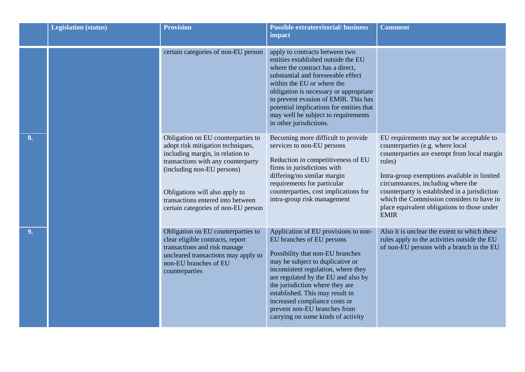|    | <b>Legislation (status)</b> | <b>Provision</b>                                                                                                                                                                                                                                                                              | <b>Possible extraterritorial/ business</b><br>impact                                                                                                                                                                                                                                                                                                                                                 | <b>Comment</b>                                                                                                                                                                                                                                                                                                                                                                         |
|----|-----------------------------|-----------------------------------------------------------------------------------------------------------------------------------------------------------------------------------------------------------------------------------------------------------------------------------------------|------------------------------------------------------------------------------------------------------------------------------------------------------------------------------------------------------------------------------------------------------------------------------------------------------------------------------------------------------------------------------------------------------|----------------------------------------------------------------------------------------------------------------------------------------------------------------------------------------------------------------------------------------------------------------------------------------------------------------------------------------------------------------------------------------|
|    |                             | certain categories of non-EU person                                                                                                                                                                                                                                                           | apply to contracts between two<br>entities established outside the EU<br>where the contract has a direct,<br>substantial and foreseeable effect<br>within the EU or where the<br>obligation is necessary or appropriate<br>to prevent evasion of EMIR. This has<br>potential implications for entities that<br>may well be subject to requirements<br>in other jurisdictions.                        |                                                                                                                                                                                                                                                                                                                                                                                        |
| 8. |                             | Obligation on EU counterparties to<br>adopt risk mitigation techniques,<br>including margin, in relation to<br>transactions with any counterparty<br>(including non-EU persons)<br>Obligations will also apply to<br>transactions entered into between<br>certain categories of non-EU person | Becoming more difficult to provide<br>services to non-EU persons<br>Reduction in competitiveness of EU<br>firms in jurisdictions with<br>differing/no similar margin<br>requirements for particular<br>counterparties, cost implications for<br>intra-group risk management                                                                                                                          | EU requirements may not be acceptable to<br>counterparties (e.g. where local<br>counterparties are exempt from local margin<br>rules)<br>Intra-group exemptions available in limited<br>circumstances, including where the<br>counterparty is established in a jurisdiction<br>which the Commission considers to have in<br>place equivalent obligations to those under<br><b>EMIR</b> |
| 9. |                             | Obligation on EU counterparties to<br>clear eligible contracts, report<br>transactions and risk manage<br>uncleared transactions may apply to<br>non-EU branches of EU<br>counterparties                                                                                                      | Application of EU provisions to non-<br>EU branches of EU persons<br>Possibility that non-EU branches<br>may be subject to duplicative or<br>inconsistent regulation, where they<br>are regulated by the EU and also by<br>the jurisdiction where they are<br>established. This may result in<br>increased compliance costs or<br>prevent non-EU branches from<br>carrying on some kinds of activity | Also it is unclear the extent to which these<br>rules apply to the activities outside the EU<br>of non-EU persons with a branch in the EU                                                                                                                                                                                                                                              |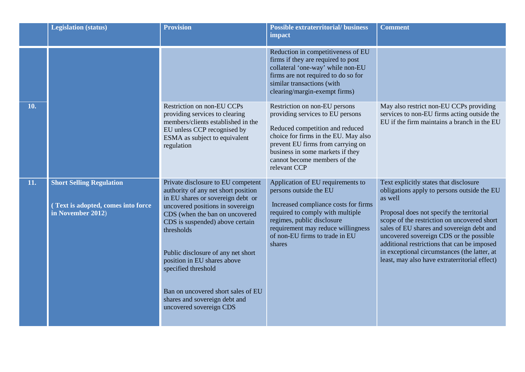|     | <b>Legislation</b> (status)                                                               | <b>Provision</b>                                                                                                                                                                                                                                                                                                                                                                                                                    | <b>Possible extraterritorial/ business</b><br>impact                                                                                                                                                                                                                  | <b>Comment</b>                                                                                                                                                                                                                                                                                                                                                                                                                       |
|-----|-------------------------------------------------------------------------------------------|-------------------------------------------------------------------------------------------------------------------------------------------------------------------------------------------------------------------------------------------------------------------------------------------------------------------------------------------------------------------------------------------------------------------------------------|-----------------------------------------------------------------------------------------------------------------------------------------------------------------------------------------------------------------------------------------------------------------------|--------------------------------------------------------------------------------------------------------------------------------------------------------------------------------------------------------------------------------------------------------------------------------------------------------------------------------------------------------------------------------------------------------------------------------------|
|     |                                                                                           |                                                                                                                                                                                                                                                                                                                                                                                                                                     | Reduction in competitiveness of EU<br>firms if they are required to post<br>collateral 'one-way' while non-EU<br>firms are not required to do so for<br>similar transactions (with<br>clearing/margin-exempt firms)                                                   |                                                                                                                                                                                                                                                                                                                                                                                                                                      |
| 10. |                                                                                           | Restriction on non-EU CCPs<br>providing services to clearing<br>members/clients established in the<br>EU unless CCP recognised by<br>ESMA as subject to equivalent<br>regulation                                                                                                                                                                                                                                                    | Restriction on non-EU persons<br>providing services to EU persons<br>Reduced competition and reduced<br>choice for firms in the EU. May also<br>prevent EU firms from carrying on<br>business in some markets if they<br>cannot become members of the<br>relevant CCP | May also restrict non-EU CCPs providing<br>services to non-EU firms acting outside the<br>EU if the firm maintains a branch in the EU                                                                                                                                                                                                                                                                                                |
| 11. | <b>Short Selling Regulation</b><br>Text is adopted, comes into force<br>in November 2012) | Private disclosure to EU competent<br>authority of any net short position<br>in EU shares or sovereign debt or<br>uncovered positions in sovereign<br>CDS (when the ban on uncovered<br>CDS is suspended) above certain<br>thresholds<br>Public disclosure of any net short<br>position in EU shares above<br>specified threshold<br>Ban on uncovered short sales of EU<br>shares and sovereign debt and<br>uncovered sovereign CDS | Application of EU requirements to<br>persons outside the EU<br>Increased compliance costs for firms<br>required to comply with multiple<br>regimes, public disclosure<br>requirement may reduce willingness<br>of non-EU firms to trade in EU<br>shares               | Text explicitly states that disclosure<br>obligations apply to persons outside the EU<br>as well<br>Proposal does not specify the territorial<br>scope of the restriction on uncovered short<br>sales of EU shares and sovereign debt and<br>uncovered sovereign CDS or the possible<br>additional restrictions that can be imposed<br>in exceptional circumstances (the latter, at<br>least, may also have extraterritorial effect) |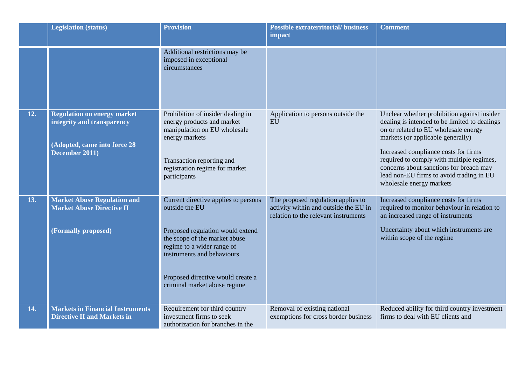|     | <b>Legislation (status)</b>                                                                                        | <b>Provision</b>                                                                                                                                                                                                                                             | <b>Possible extraterritorial/ business</b><br>impact                                                                | <b>Comment</b>                                                                                                                                                                                                                                                                                                                                                                    |
|-----|--------------------------------------------------------------------------------------------------------------------|--------------------------------------------------------------------------------------------------------------------------------------------------------------------------------------------------------------------------------------------------------------|---------------------------------------------------------------------------------------------------------------------|-----------------------------------------------------------------------------------------------------------------------------------------------------------------------------------------------------------------------------------------------------------------------------------------------------------------------------------------------------------------------------------|
|     |                                                                                                                    | Additional restrictions may be<br>imposed in exceptional<br>circumstances                                                                                                                                                                                    |                                                                                                                     |                                                                                                                                                                                                                                                                                                                                                                                   |
| 12. | <b>Regulation on energy market</b><br>integrity and transparency<br>(Adopted, came into force 28<br>December 2011) | Prohibition of insider dealing in<br>energy products and market<br>manipulation on EU wholesale<br>energy markets<br>Transaction reporting and<br>registration regime for market<br>participants                                                             | Application to persons outside the<br><b>EU</b>                                                                     | Unclear whether prohibition against insider<br>dealing is intended to be limited to dealings<br>on or related to EU wholesale energy<br>markets (or applicable generally)<br>Increased compliance costs for firms<br>required to comply with multiple regimes,<br>concerns about sanctions for breach may<br>lead non-EU firms to avoid trading in EU<br>wholesale energy markets |
| 13. | <b>Market Abuse Regulation and</b><br><b>Market Abuse Directive II</b><br>(Formally proposed)                      | Current directive applies to persons<br>outside the EU<br>Proposed regulation would extend<br>the scope of the market abuse<br>regime to a wider range of<br>instruments and behaviours<br>Proposed directive would create a<br>criminal market abuse regime | The proposed regulation applies to<br>activity within and outside the EU in<br>relation to the relevant instruments | Increased compliance costs for firms<br>required to monitor behaviour in relation to<br>an increased range of instruments<br>Uncertainty about which instruments are<br>within scope of the regime                                                                                                                                                                                |
| 14. | <b>Markets in Financial Instruments</b><br><b>Directive II and Markets in</b>                                      | Requirement for third country<br>investment firms to seek<br>authorization for branches in the                                                                                                                                                               | Removal of existing national<br>exemptions for cross border business                                                | Reduced ability for third country investment<br>firms to deal with EU clients and                                                                                                                                                                                                                                                                                                 |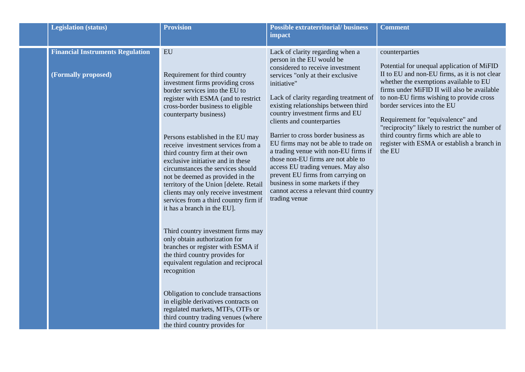| <b>Legislation</b> (status)                                    |    | <b>Provision</b>                                                                                                                                                                                                                                                                                                                                                                                                                                                                                                                                                                                                                                                                                                                                                                                                                                                                                                                                                                                | <b>Possible extraterritorial/ business</b><br>impact                                                                                                                                                                                                                                                                                                                                                                                                                                                                                                                                                                                            | <b>Comment</b>                                                                                                                                                                                                                                                                                                                                                                                                                                                             |
|----------------------------------------------------------------|----|-------------------------------------------------------------------------------------------------------------------------------------------------------------------------------------------------------------------------------------------------------------------------------------------------------------------------------------------------------------------------------------------------------------------------------------------------------------------------------------------------------------------------------------------------------------------------------------------------------------------------------------------------------------------------------------------------------------------------------------------------------------------------------------------------------------------------------------------------------------------------------------------------------------------------------------------------------------------------------------------------|-------------------------------------------------------------------------------------------------------------------------------------------------------------------------------------------------------------------------------------------------------------------------------------------------------------------------------------------------------------------------------------------------------------------------------------------------------------------------------------------------------------------------------------------------------------------------------------------------------------------------------------------------|----------------------------------------------------------------------------------------------------------------------------------------------------------------------------------------------------------------------------------------------------------------------------------------------------------------------------------------------------------------------------------------------------------------------------------------------------------------------------|
| <b>Financial Instruments Regulation</b><br>(Formally proposed) | EU | Requirement for third country<br>investment firms providing cross<br>border services into the EU to<br>register with ESMA (and to restrict<br>cross-border business to eligible<br>counterparty business)<br>Persons established in the EU may<br>receive investment services from a<br>third country firm at their own<br>exclusive initiative and in these<br>circumstances the services should<br>not be deemed as provided in the<br>territory of the Union [delete. Retail<br>clients may only receive investment<br>services from a third country firm if<br>it has a branch in the EU].<br>Third country investment firms may<br>only obtain authorization for<br>branches or register with ESMA if<br>the third country provides for<br>equivalent regulation and reciprocal<br>recognition<br>Obligation to conclude transactions<br>in eligible derivatives contracts on<br>regulated markets, MTFs, OTFs or<br>third country trading venues (where<br>the third country provides for | Lack of clarity regarding when a<br>person in the EU would be<br>considered to receive investment<br>services "only at their exclusive<br>initiative"<br>Lack of clarity regarding treatment of<br>existing relationships between third<br>country investment firms and EU<br>clients and counterparties<br>Barrier to cross border business as<br>EU firms may not be able to trade on<br>a trading venue with non-EU firms if<br>those non-EU firms are not able to<br>access EU trading venues. May also<br>prevent EU firms from carrying on<br>business in some markets if they<br>cannot access a relevant third country<br>trading venue | counterparties<br>Potential for unequal application of MiFID<br>II to EU and non-EU firms, as it is not clear<br>whether the exemptions available to EU<br>firms under MiFID II will also be available<br>to non-EU firms wishing to provide cross<br>border services into the EU<br>Requirement for "equivalence" and<br>"reciprocity" likely to restrict the number of<br>third country firms which are able to<br>register with ESMA or establish a branch in<br>the EU |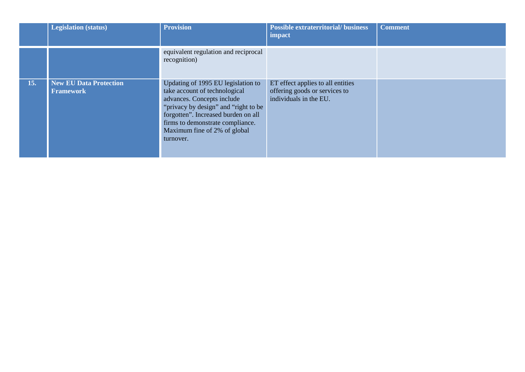|     | <b>Legislation</b> (status)                       | <b>Provision</b>                                                                                                                                                                                                                                                  | <b>Possible extraterritorial/business</b><br>impact                                          | <b>Comment</b> |
|-----|---------------------------------------------------|-------------------------------------------------------------------------------------------------------------------------------------------------------------------------------------------------------------------------------------------------------------------|----------------------------------------------------------------------------------------------|----------------|
|     |                                                   | equivalent regulation and reciprocal<br>recognition)                                                                                                                                                                                                              |                                                                                              |                |
| 15. | <b>New EU Data Protection</b><br><b>Framework</b> | Updating of 1995 EU legislation to<br>take account of technological<br>advances. Concepts include<br>"privacy by design" and "right to be<br>forgotten". Increased burden on all<br>firms to demonstrate compliance.<br>Maximum fine of 2% of global<br>turnover. | ET effect applies to all entities<br>offering goods or services to<br>individuals in the EU. |                |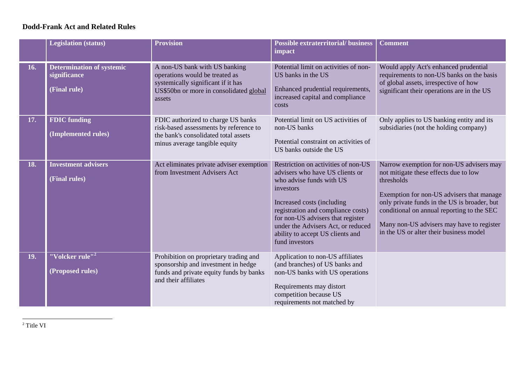# <span id="page-58-0"></span>**Dodd-Frank Act and Related Rules**

|     | <b>Legislation</b> (status)                                      | <b>Provision</b>                                                                                                                                           | <b>Possible extraterritorial/ business</b><br>impact                                                                                                                                                                                                                                                                 | <b>Comment</b>                                                                                                                                                                                                                                                                                                                     |
|-----|------------------------------------------------------------------|------------------------------------------------------------------------------------------------------------------------------------------------------------|----------------------------------------------------------------------------------------------------------------------------------------------------------------------------------------------------------------------------------------------------------------------------------------------------------------------|------------------------------------------------------------------------------------------------------------------------------------------------------------------------------------------------------------------------------------------------------------------------------------------------------------------------------------|
| 16. | <b>Determination of systemic</b><br>significance<br>(Final rule) | A non-US bank with US banking<br>operations would be treated as<br>systemically significant if it has<br>US\$50bn or more in consolidated global<br>assets | Potential limit on activities of non-<br>US banks in the US<br>Enhanced prudential requirements,<br>increased capital and compliance<br>costs                                                                                                                                                                        | Would apply Act's enhanced prudential<br>requirements to non-US banks on the basis<br>of global assets, irrespective of how<br>significant their operations are in the US                                                                                                                                                          |
| 17. | <b>FDIC</b> funding<br>(Implemented rules)                       | FDIC authorized to charge US banks<br>risk-based assessments by reference to<br>the bank's consolidated total assets<br>minus average tangible equity      | Potential limit on US activities of<br>non-US banks<br>Potential constraint on activities of<br>US banks outside the US                                                                                                                                                                                              | Only applies to US banking entity and its<br>subsidiaries (not the holding company)                                                                                                                                                                                                                                                |
| 18. | <b>Investment advisers</b><br>(Final rules)                      | Act eliminates private adviser exemption<br>from Investment Advisers Act                                                                                   | Restriction on activities of non-US<br>advisers who have US clients or<br>who advise funds with US<br>investors<br>Increased costs (including<br>registration and compliance costs)<br>for non-US advisers that register<br>under the Advisers Act, or reduced<br>ability to accept US clients and<br>fund investors | Narrow exemption for non-US advisers may<br>not mitigate these effects due to low<br>thresholds<br>Exemption for non-US advisers that manage<br>only private funds in the US is broader, but<br>conditional on annual reporting to the SEC<br>Many non-US advisers may have to register<br>in the US or alter their business model |
| 19. | "Volcker rule" <sup>2</sup><br>(Proposed rules)                  | Prohibition on proprietary trading and<br>sponsorship and investment in hedge<br>funds and private equity funds by banks<br>and their affiliates           | Application to non-US affiliates<br>(and branches) of US banks and<br>non-US banks with US operations<br>Requirements may distort<br>competition because US<br>requirements not matched by                                                                                                                           |                                                                                                                                                                                                                                                                                                                                    |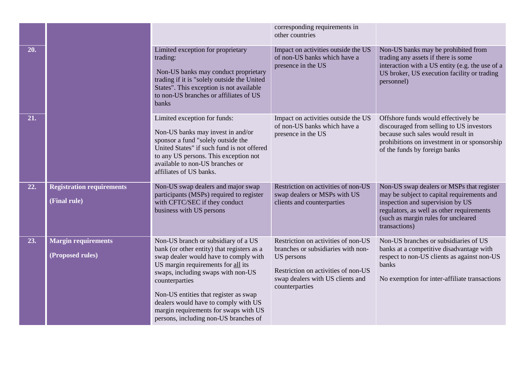|     |                                                  |                                                                                                                                                                                                                                                                                                                                                                                             | corresponding requirements in<br>other countries                                                                                                                                     |                                                                                                                                                                                                                                  |
|-----|--------------------------------------------------|---------------------------------------------------------------------------------------------------------------------------------------------------------------------------------------------------------------------------------------------------------------------------------------------------------------------------------------------------------------------------------------------|--------------------------------------------------------------------------------------------------------------------------------------------------------------------------------------|----------------------------------------------------------------------------------------------------------------------------------------------------------------------------------------------------------------------------------|
| 20. |                                                  | Limited exception for proprietary<br>trading:<br>Non-US banks may conduct proprietary<br>trading if it is "solely outside the United<br>States". This exception is not available<br>to non-US branches or affiliates of US<br>banks                                                                                                                                                         | Impact on activities outside the US<br>of non-US banks which have a<br>presence in the US                                                                                            | Non-US banks may be prohibited from<br>trading any assets if there is some<br>interaction with a US entity (e.g. the use of a<br>US broker, US execution facility or trading<br>personnel)                                       |
| 21. |                                                  | Limited exception for funds:<br>Non-US banks may invest in and/or<br>sponsor a fund "solely outside the<br>United States" if such fund is not offered<br>to any US persons. This exception not<br>available to non-US branches or<br>affiliates of US banks.                                                                                                                                | Impact on activities outside the US<br>of non-US banks which have a<br>presence in the US                                                                                            | Offshore funds would effectively be<br>discouraged from selling to US investors<br>because such sales would result in<br>prohibitions on investment in or sponsorship<br>of the funds by foreign banks                           |
| 22. | <b>Registration requirements</b><br>(Final rule) | Non-US swap dealers and major swap<br>participants (MSPs) required to register<br>with CFTC/SEC if they conduct<br>business with US persons                                                                                                                                                                                                                                                 | Restriction on activities of non-US<br>swap dealers or MSPs with US<br>clients and counterparties                                                                                    | Non-US swap dealers or MSPs that register<br>may be subject to capital requirements and<br>inspection and supervision by US<br>regulators, as well as other requirements<br>(such as margin rules for uncleared<br>transactions) |
| 23. | <b>Margin requirements</b><br>(Proposed rules)   | Non-US branch or subsidiary of a US<br>bank (or other entity) that registers as a<br>swap dealer would have to comply with<br>US margin requirements for all its<br>swaps, including swaps with non-US<br>counterparties<br>Non-US entities that register as swap<br>dealers would have to comply with US<br>margin requirements for swaps with US<br>persons, including non-US branches of | Restriction on activities of non-US<br>branches or subsidiaries with non-<br>US persons<br>Restriction on activities of non-US<br>swap dealers with US clients and<br>counterparties | Non-US branches or subsidiaries of US<br>banks at a competitive disadvantage with<br>respect to non-US clients as against non-US<br>banks<br>No exemption for inter-affiliate transactions                                       |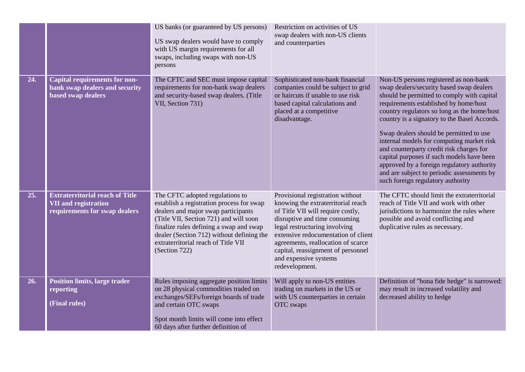|     |                                                                                                        | US banks (or guaranteed by US persons)<br>US swap dealers would have to comply<br>with US margin requirements for all<br>swaps, including swaps with non-US<br>persons                                                                                                                                        | Restriction on activities of US<br>swap dealers with non-US clients<br>and counterparties                                                                                                                                                                                                                                                   |                                                                                                                                                                                                                                                                                                                                                                                                                                                                                                                                                                                           |
|-----|--------------------------------------------------------------------------------------------------------|---------------------------------------------------------------------------------------------------------------------------------------------------------------------------------------------------------------------------------------------------------------------------------------------------------------|---------------------------------------------------------------------------------------------------------------------------------------------------------------------------------------------------------------------------------------------------------------------------------------------------------------------------------------------|-------------------------------------------------------------------------------------------------------------------------------------------------------------------------------------------------------------------------------------------------------------------------------------------------------------------------------------------------------------------------------------------------------------------------------------------------------------------------------------------------------------------------------------------------------------------------------------------|
| 24. | <b>Capital requirements for non-</b><br>bank swap dealers and security<br>based swap dealers           | The CFTC and SEC must impose capital<br>requirements for non-bank swap dealers<br>and security-based swap dealers. (Title<br>VII, Section 731)                                                                                                                                                                | Sophisticated non-bank financial<br>companies could be subject to grid<br>or haircuts if unable to use risk<br>based capital calculations and<br>placed at a competitive<br>disadvantage.                                                                                                                                                   | Non-US persons registered as non-bank<br>swap dealers/security based swap dealers<br>should be permitted to comply with capital<br>requirements established by home/host<br>country regulators so long as the home/host<br>country is a signatory to the Basel Accords.<br>Swap dealers should be permitted to use<br>internal models for computing market risk<br>and counterparty credit risk charges for<br>capital purposes if such models have been<br>approved by a foreign regulatory authority<br>and are subject to periodic assessments by<br>such foreign regulatory authority |
| 25. | <b>Extraterritorial reach of Title</b><br><b>VII and registration</b><br>requirements for swap dealers | The CFTC adopted regulations to<br>establish a registration process for swap<br>dealers and major swap participants<br>(Title VII, Section 721) and will soon<br>finalize rules defining a swap and swap<br>dealer (Section 712) without defining the<br>extraterritorial reach of Title VII<br>(Section 722) | Provisional registration without<br>knowing the extraterritorial reach<br>of Title VII will require costly,<br>disruptive and time consuming<br>legal restructuring involving<br>extensive redocumentation of client<br>agreements, reallocation of scarce<br>capital, reassignment of personnel<br>and expensive systems<br>redevelopment. | The CFTC should limit the extraterritorial<br>reach of Title VII and work with other<br>jurisdictions to harmonize the rules where<br>possible and avoid conflicting and<br>duplicative rules as necessary.                                                                                                                                                                                                                                                                                                                                                                               |
| 26. | <b>Position limits, large trader</b><br>reporting<br>(Final rules)                                     | Rules imposing aggregate position limits<br>on 28 physical commodities traded on<br>exchanges/SEFs/foreign boards of trade<br>and certain OTC swaps<br>Spot month limits will come into effect<br>60 days after further definition of                                                                         | Will apply to non-US entities<br>trading on markets in the US or<br>with US counterparties in certain<br>OTC swaps                                                                                                                                                                                                                          | Definition of "bona fide hedge" is narrowed:<br>may result in increased volatility and<br>decreased ability to hedge                                                                                                                                                                                                                                                                                                                                                                                                                                                                      |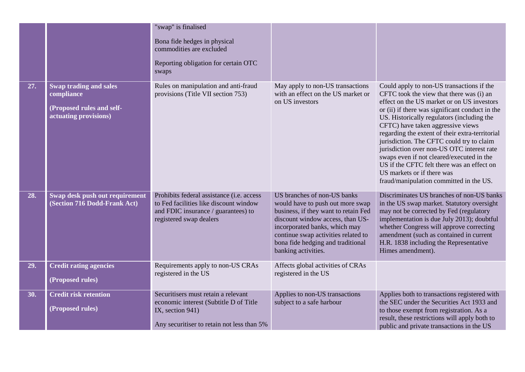|     |                                                                                                   | "swap" is finalised<br>Bona fide hedges in physical<br>commodities are excluded<br>Reporting obligation for certain OTC<br>swaps                      |                                                                                                                                                                                                                                                                                 |                                                                                                                                                                                                                                                                                                                                                                                                                                                                                                                                                                                             |
|-----|---------------------------------------------------------------------------------------------------|-------------------------------------------------------------------------------------------------------------------------------------------------------|---------------------------------------------------------------------------------------------------------------------------------------------------------------------------------------------------------------------------------------------------------------------------------|---------------------------------------------------------------------------------------------------------------------------------------------------------------------------------------------------------------------------------------------------------------------------------------------------------------------------------------------------------------------------------------------------------------------------------------------------------------------------------------------------------------------------------------------------------------------------------------------|
| 27. | <b>Swap trading and sales</b><br>compliance<br>(Proposed rules and self-<br>actuating provisions) | Rules on manipulation and anti-fraud<br>provisions (Title VII section 753)                                                                            | May apply to non-US transactions<br>with an effect on the US market or<br>on US investors                                                                                                                                                                                       | Could apply to non-US transactions if the<br>CFTC took the view that there was (i) an<br>effect on the US market or on US investors<br>or (ii) if there was significant conduct in the<br>US. Historically regulators (including the<br>CFTC) have taken aggressive views<br>regarding the extent of their extra-territorial<br>jurisdiction. The CFTC could try to claim<br>jurisdiction over non-US OTC interest rate<br>swaps even if not cleared/executed in the<br>US if the CFTC felt there was an effect on<br>US markets or if there was<br>fraud/manipulation committed in the US. |
| 28. | Swap desk push out requirement<br>(Section 716 Dodd-Frank Act)                                    | Prohibits federal assistance (i.e. access<br>to Fed facilities like discount window<br>and FDIC insurance / guarantees) to<br>registered swap dealers | US branches of non-US banks<br>would have to push out more swap<br>business, if they want to retain Fed<br>discount window access, than US-<br>incorporated banks, which may<br>continue swap activities related to<br>bona fide hedging and traditional<br>banking activities. | Discriminates US branches of non-US banks<br>in the US swap market. Statutory oversight<br>may not be corrected by Fed (regulatory<br>implementation is due July 2013); doubtful<br>whether Congress will approve correcting<br>amendment (such as contained in current<br>H.R. 1838 including the Representative<br>Himes amendment).                                                                                                                                                                                                                                                      |
| 29. | <b>Credit rating agencies</b><br>(Proposed rules)                                                 | Requirements apply to non-US CRAs<br>registered in the US                                                                                             | Affects global activities of CRAs<br>registered in the US                                                                                                                                                                                                                       |                                                                                                                                                                                                                                                                                                                                                                                                                                                                                                                                                                                             |
| 30. | <b>Credit risk retention</b><br>(Proposed rules)                                                  | Securitisers must retain a relevant<br>economic interest (Subtitle D of Title<br>IX, section 941)<br>Any securitiser to retain not less than 5%       | Applies to non-US transactions<br>subject to a safe harbour                                                                                                                                                                                                                     | Applies both to transactions registered with<br>the SEC under the Securities Act 1933 and<br>to those exempt from registration. As a<br>result, these restrictions will apply both to<br>public and private transactions in the US                                                                                                                                                                                                                                                                                                                                                          |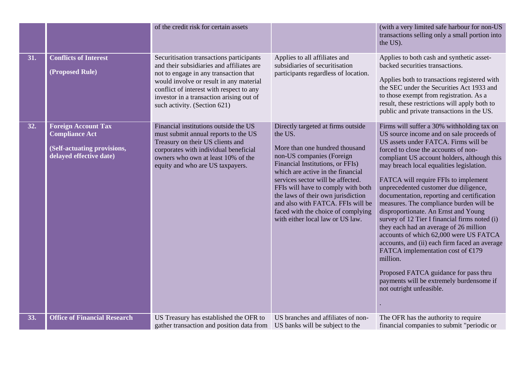|     |                                                                                                               | of the credit risk for certain assets                                                                                                                                                                                                                                                             |                                                                                                                                                                                                                                                                                                                                                                                                                       | (with a very limited safe harbour for non-US<br>transactions selling only a small portion into<br>the US).                                                                                                                                                                                                                                                                                                                                                                                                                                                                                                                                                                                                                                                                                                                                            |
|-----|---------------------------------------------------------------------------------------------------------------|---------------------------------------------------------------------------------------------------------------------------------------------------------------------------------------------------------------------------------------------------------------------------------------------------|-----------------------------------------------------------------------------------------------------------------------------------------------------------------------------------------------------------------------------------------------------------------------------------------------------------------------------------------------------------------------------------------------------------------------|-------------------------------------------------------------------------------------------------------------------------------------------------------------------------------------------------------------------------------------------------------------------------------------------------------------------------------------------------------------------------------------------------------------------------------------------------------------------------------------------------------------------------------------------------------------------------------------------------------------------------------------------------------------------------------------------------------------------------------------------------------------------------------------------------------------------------------------------------------|
| 31. | <b>Conflicts of Interest</b><br>(Proposed Rule)                                                               | Securitisation transactions participants<br>and their subsidiaries and affiliates are<br>not to engage in any transaction that<br>would involve or result in any material<br>conflict of interest with respect to any<br>investor in a transaction arising out of<br>such activity. (Section 621) | Applies to all affiliates and<br>subsidiaries of securitisation<br>participants regardless of location.                                                                                                                                                                                                                                                                                                               | Applies to both cash and synthetic asset-<br>backed securities transactions.<br>Applies both to transactions registered with<br>the SEC under the Securities Act 1933 and<br>to those exempt from registration. As a<br>result, these restrictions will apply both to<br>public and private transactions in the US.                                                                                                                                                                                                                                                                                                                                                                                                                                                                                                                                   |
| 32. | <b>Foreign Account Tax</b><br><b>Compliance Act</b><br>(Self-actuating provisions,<br>delayed effective date) | Financial institutions outside the US<br>must submit annual reports to the US<br>Treasury on their US clients and<br>corporates with individual beneficial<br>owners who own at least 10% of the<br>equity and who are US taxpayers.                                                              | Directly targeted at firms outside<br>the US.<br>More than one hundred thousand<br>non-US companies (Foreign<br>Financial Institutions, or FFIs)<br>which are active in the financial<br>services sector will be affected.<br>FFIs will have to comply with both<br>the laws of their own jurisdiction<br>and also with FATCA. FFIs will be<br>faced with the choice of complying<br>with either local law or US law. | Firms will suffer a 30% withholding tax on<br>US source income and on sale proceeds of<br>US assets under FATCA. Firms will be<br>forced to close the accounts of non-<br>compliant US account holders, although this<br>may breach local equalities legislation.<br>FATCA will require FFIs to implement<br>unprecedented customer due diligence,<br>documentation, reporting and certification<br>measures. The compliance burden will be<br>disproportionate. An Ernst and Young<br>survey of 12 Tier I financial firms noted (i)<br>they each had an average of 26 million<br>accounts of which 62,000 were US FATCA<br>accounts, and (ii) each firm faced an average<br>FATCA implementation cost of $\bigoplus$ 79<br>million.<br>Proposed FATCA guidance for pass thru<br>payments will be extremely burdensome if<br>not outright unfeasible. |
| 33. | <b>Office of Financial Research</b>                                                                           | US Treasury has established the OFR to                                                                                                                                                                                                                                                            | US branches and affiliates of non-                                                                                                                                                                                                                                                                                                                                                                                    | The OFR has the authority to require                                                                                                                                                                                                                                                                                                                                                                                                                                                                                                                                                                                                                                                                                                                                                                                                                  |
|     |                                                                                                               | gather transaction and position data from                                                                                                                                                                                                                                                         | US banks will be subject to the                                                                                                                                                                                                                                                                                                                                                                                       | financial companies to submit "periodic or                                                                                                                                                                                                                                                                                                                                                                                                                                                                                                                                                                                                                                                                                                                                                                                                            |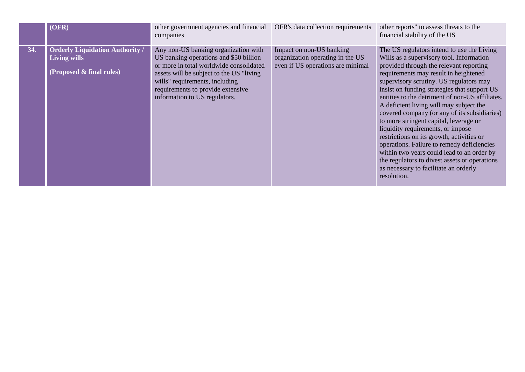|     | (OFR)                                                                                     | other government agencies and financial<br>companies                                                                                                                                                                                                                           | OFR's data collection requirements                                                                | other reports" to assess threats to the<br>financial stability of the US                                                                                                                                                                                                                                                                                                                                                                                                                                                                                                                                                                                                                                                                             |
|-----|-------------------------------------------------------------------------------------------|--------------------------------------------------------------------------------------------------------------------------------------------------------------------------------------------------------------------------------------------------------------------------------|---------------------------------------------------------------------------------------------------|------------------------------------------------------------------------------------------------------------------------------------------------------------------------------------------------------------------------------------------------------------------------------------------------------------------------------------------------------------------------------------------------------------------------------------------------------------------------------------------------------------------------------------------------------------------------------------------------------------------------------------------------------------------------------------------------------------------------------------------------------|
| 34. | <b>Orderly Liquidation Authority /</b><br><b>Living wills</b><br>(Proposed & final rules) | Any non-US banking organization with<br>US banking operations and \$50 billion<br>or more in total worldwide consolidated<br>assets will be subject to the US "living"<br>wills" requirements, including<br>requirements to provide extensive<br>information to US regulators. | Impact on non-US banking<br>organization operating in the US<br>even if US operations are minimal | The US regulators intend to use the Living<br>Wills as a supervisory tool. Information<br>provided through the relevant reporting<br>requirements may result in heightened<br>supervisory scrutiny. US regulators may<br>insist on funding strategies that support US<br>entities to the detriment of non-US affiliates.<br>A deficient living will may subject the<br>covered company (or any of its subsidiaries)<br>to more stringent capital, leverage or<br>liquidity requirements, or impose<br>restrictions on its growth, activities or<br>operations. Failure to remedy deficiencies<br>within two years could lead to an order by<br>the regulators to divest assets or operations<br>as necessary to facilitate an orderly<br>resolution. |